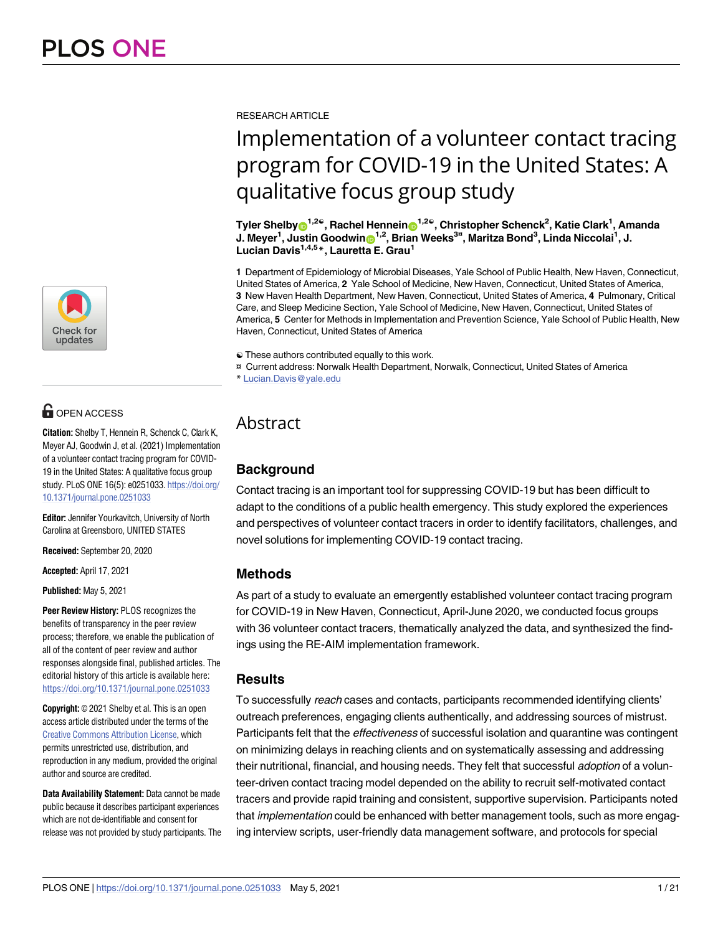

# **OPEN ACCESS**

**Citation:** Shelby T, Hennein R, Schenck C, Clark K, Meyer AJ, Goodwin J, et al. (2021) Implementation of a volunteer contact tracing program for COVID-19 in the United States: A qualitative focus group study. PLoS ONE 16(5): e0251033. [https://doi.org/](https://doi.org/10.1371/journal.pone.0251033) [10.1371/journal.pone.0251033](https://doi.org/10.1371/journal.pone.0251033)

**Editor:** Jennifer Yourkavitch, University of North Carolina at Greensboro, UNITED STATES

**Received:** September 20, 2020

**Accepted:** April 17, 2021

**Published:** May 5, 2021

**Peer Review History:** PLOS recognizes the benefits of transparency in the peer review process; therefore, we enable the publication of all of the content of peer review and author responses alongside final, published articles. The editorial history of this article is available here: <https://doi.org/10.1371/journal.pone.0251033>

**Copyright:** © 2021 Shelby et al. This is an open access article distributed under the terms of the Creative Commons [Attribution](http://creativecommons.org/licenses/by/4.0/) License, which permits unrestricted use, distribution, and reproduction in any medium, provided the original author and source are credited.

**Data Availability Statement:** Data cannot be made public because it describes participant experiences which are not de-identifiable and consent for release was not provided by study participants. The RESEARCH ARTICLE

# Implementation of a volunteer contact tracing program for COVID-19 in the United States: A qualitative focus group study

 $\textsf{Tyler Shelby}$   $\textsf{D}^{1,2\mathfrak{S}},$   $\textsf{Rachel Hennein}$   $\textsf{D}^{1,2\mathfrak{S}},$   $\textsf{Christopher Schenck}^2,$   $\textsf{Katie Clark}^1, \textsf{Amanda}$  $\mathbf{J}$ . Meyer<sup>1</sup>, Justin Goodwin $\mathbf{O}^{1,2}$ , Brian Weeks<sup>3¤</sup>, Maritza Bond<sup>3</sup>, Linda Niccolai<sup>1</sup>, J. **Lucian Davis1,4,5\*, Lauretta E. Grau1**

**1** Department of Epidemiology of Microbial Diseases, Yale School of Public Health, New Haven, Connecticut, United States of America, **2** Yale School of Medicine, New Haven, Connecticut, United States of America, **3** New Haven Health Department, New Haven, Connecticut, United States of America, **4** Pulmonary, Critical Care, and Sleep Medicine Section, Yale School of Medicine, New Haven, Connecticut, United States of America, **5** Center for Methods in Implementation and Prevention Science, Yale School of Public Health, New Haven, Connecticut, United States of America

☯ These authors contributed equally to this work.

¤ Current address: Norwalk Health Department, Norwalk, Connecticut, United States of America

# Abstract

# **Background**

Contact tracing is an important tool for suppressing COVID-19 but has been difficult to adapt to the conditions of a public health emergency. This study explored the experiences and perspectives of volunteer contact tracers in order to identify facilitators, challenges, and novel solutions for implementing COVID-19 contact tracing.

# **Methods**

As part of a study to evaluate an emergently established volunteer contact tracing program for COVID-19 in New Haven, Connecticut, April-June 2020, we conducted focus groups with 36 volunteer contact tracers, thematically analyzed the data, and synthesized the findings using the RE-AIM implementation framework.

## **Results**

To successfully reach cases and contacts, participants recommended identifying clients' outreach preferences, engaging clients authentically, and addressing sources of mistrust. Participants felt that the *effectiveness* of successful isolation and quarantine was contingent on minimizing delays in reaching clients and on systematically assessing and addressing their nutritional, financial, and housing needs. They felt that successful *adoption* of a volunteer-driven contact tracing model depended on the ability to recruit self-motivated contact tracers and provide rapid training and consistent, supportive supervision. Participants noted that *implementation* could be enhanced with better management tools, such as more engaging interview scripts, user-friendly data management software, and protocols for special

<sup>\*</sup> Lucian.Davis@yale.edu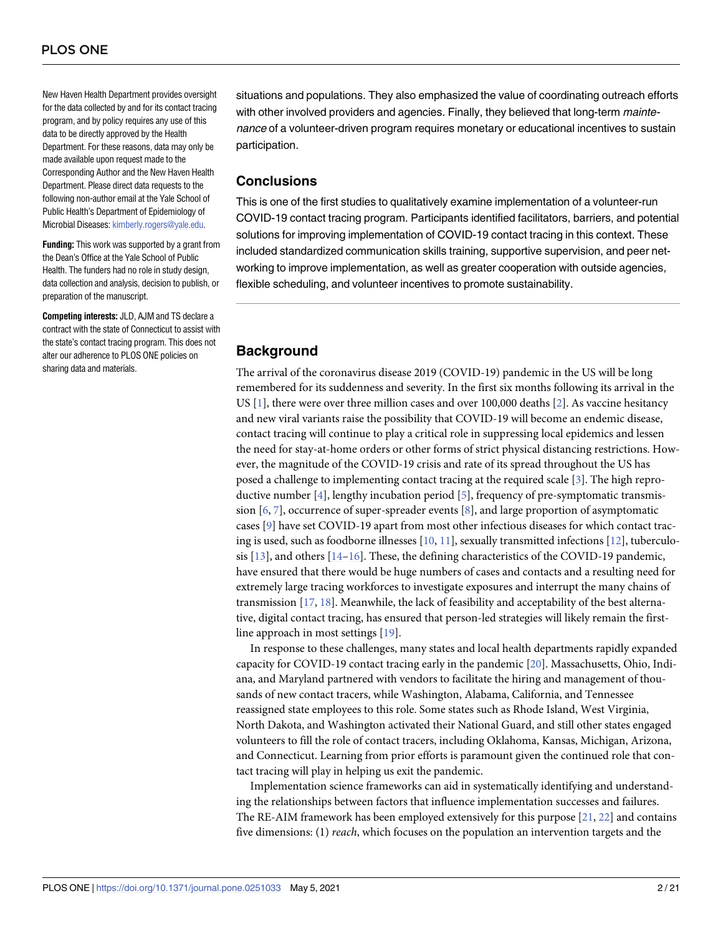<span id="page-1-0"></span>New Haven Health Department provides oversight for the data collected by and for its contact tracing program, and by policy requires any use of this data to be directly approved by the Health Department. For these reasons, data may only be made available upon request made to the Corresponding Author and the New Haven Health Department. Please direct data requests to the following non-author email at the Yale School of Public Health's Department of Epidemiology of Microbial Diseases: [kimberly.rogers@yale.edu](mailto:kimberly.rogers@yale.edu).

**Funding:** This work was supported by a grant from the Dean's Office at the Yale School of Public Health. The funders had no role in study design, data collection and analysis, decision to publish, or preparation of the manuscript.

**Competing interests:** JLD, AJM and TS declare a contract with the state of Connecticut to assist with the state's contact tracing program. This does not alter our adherence to PLOS ONE policies on sharing data and materials.

situations and populations. They also emphasized the value of coordinating outreach efforts with other involved providers and agencies. Finally, they believed that long-term maintenance of a volunteer-driven program requires monetary or educational incentives to sustain participation.

#### **Conclusions**

This is one of the first studies to qualitatively examine implementation of a volunteer-run COVID-19 contact tracing program. Participants identified facilitators, barriers, and potential solutions for improving implementation of COVID-19 contact tracing in this context. These included standardized communication skills training, supportive supervision, and peer networking to improve implementation, as well as greater cooperation with outside agencies, flexible scheduling, and volunteer incentives to promote sustainability.

#### **Background**

The arrival of the coronavirus disease 2019 (COVID-19) pandemic in the US will be long remembered for its suddenness and severity. In the first six months following its arrival in the US [[1](#page-18-0)], there were over three million cases and over 100,000 deaths [\[2](#page-18-0)]. As vaccine hesitancy and new viral variants raise the possibility that COVID-19 will become an endemic disease, contact tracing will continue to play a critical role in suppressing local epidemics and lessen the need for stay-at-home orders or other forms of strict physical distancing restrictions. However, the magnitude of the COVID-19 crisis and rate of its spread throughout the US has posed a challenge to implementing contact tracing at the required scale [[3](#page-18-0)]. The high reproductive number [\[4\]](#page-18-0), lengthy incubation period [[5](#page-18-0)], frequency of pre-symptomatic transmission [\[6](#page-18-0), [7](#page-18-0)], occurrence of super-spreader events [[8](#page-18-0)], and large proportion of asymptomatic cases [[9](#page-18-0)] have set COVID-19 apart from most other infectious diseases for which contact tracing is used, such as foodborne illnesses [[10](#page-18-0), [11\]](#page-18-0), sexually transmitted infections [[12](#page-18-0)], tuberculosis  $[13]$ , and others  $[14-16]$ . These, the defining characteristics of the COVID-19 pandemic, have ensured that there would be huge numbers of cases and contacts and a resulting need for extremely large tracing workforces to investigate exposures and interrupt the many chains of transmission [\[17,](#page-18-0) [18\]](#page-18-0). Meanwhile, the lack of feasibility and acceptability of the best alternative, digital contact tracing, has ensured that person-led strategies will likely remain the firstline approach in most settings [[19](#page-19-0)].

In response to these challenges, many states and local health departments rapidly expanded capacity for COVID-19 contact tracing early in the pandemic [\[20\]](#page-19-0). Massachusetts, Ohio, Indiana, and Maryland partnered with vendors to facilitate the hiring and management of thousands of new contact tracers, while Washington, Alabama, California, and Tennessee reassigned state employees to this role. Some states such as Rhode Island, West Virginia, North Dakota, and Washington activated their National Guard, and still other states engaged volunteers to fill the role of contact tracers, including Oklahoma, Kansas, Michigan, Arizona, and Connecticut. Learning from prior efforts is paramount given the continued role that contact tracing will play in helping us exit the pandemic.

Implementation science frameworks can aid in systematically identifying and understanding the relationships between factors that influence implementation successes and failures. The RE-AIM framework has been employed extensively for this purpose [\[21,](#page-19-0) [22\]](#page-19-0) and contains five dimensions: (1) *reach*, which focuses on the population an intervention targets and the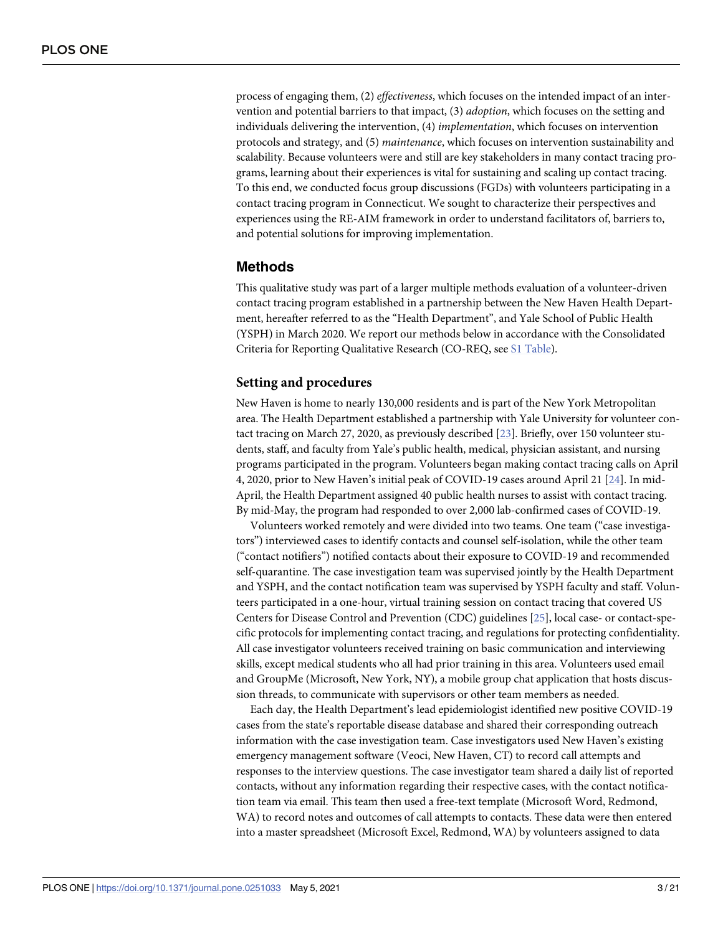<span id="page-2-0"></span>process of engaging them, (2) *effectiveness*, which focuses on the intended impact of an intervention and potential barriers to that impact, (3) *adoption*, which focuses on the setting and individuals delivering the intervention, (4) *implementation*, which focuses on intervention protocols and strategy, and (5) *maintenance*, which focuses on intervention sustainability and scalability. Because volunteers were and still are key stakeholders in many contact tracing programs, learning about their experiences is vital for sustaining and scaling up contact tracing. To this end, we conducted focus group discussions (FGDs) with volunteers participating in a contact tracing program in Connecticut. We sought to characterize their perspectives and experiences using the RE-AIM framework in order to understand facilitators of, barriers to, and potential solutions for improving implementation.

## **Methods**

This qualitative study was part of a larger multiple methods evaluation of a volunteer-driven contact tracing program established in a partnership between the New Haven Health Department, hereafter referred to as the "Health Department", and Yale School of Public Health (YSPH) in March 2020. We report our methods below in accordance with the Consolidated Criteria for Reporting Qualitative Research (CO-REQ, see S1 [Table\)](#page-17-0).

#### **Setting and procedures**

New Haven is home to nearly 130,000 residents and is part of the New York Metropolitan area. The Health Department established a partnership with Yale University for volunteer contact tracing on March 27, 2020, as previously described [\[23\]](#page-19-0). Briefly, over 150 volunteer students, staff, and faculty from Yale's public health, medical, physician assistant, and nursing programs participated in the program. Volunteers began making contact tracing calls on April 4, 2020, prior to New Haven's initial peak of COVID-19 cases around April 21 [[24](#page-19-0)]. In mid-April, the Health Department assigned 40 public health nurses to assist with contact tracing. By mid-May, the program had responded to over 2,000 lab-confirmed cases of COVID-19.

Volunteers worked remotely and were divided into two teams. One team ("case investigators") interviewed cases to identify contacts and counsel self-isolation, while the other team ("contact notifiers") notified contacts about their exposure to COVID-19 and recommended self-quarantine. The case investigation team was supervised jointly by the Health Department and YSPH, and the contact notification team was supervised by YSPH faculty and staff. Volunteers participated in a one-hour, virtual training session on contact tracing that covered US Centers for Disease Control and Prevention (CDC) guidelines [\[25\]](#page-19-0), local case- or contact-specific protocols for implementing contact tracing, and regulations for protecting confidentiality. All case investigator volunteers received training on basic communication and interviewing skills, except medical students who all had prior training in this area. Volunteers used email and GroupMe (Microsoft, New York, NY), a mobile group chat application that hosts discussion threads, to communicate with supervisors or other team members as needed.

Each day, the Health Department's lead epidemiologist identified new positive COVID-19 cases from the state's reportable disease database and shared their corresponding outreach information with the case investigation team. Case investigators used New Haven's existing emergency management software (Veoci, New Haven, CT) to record call attempts and responses to the interview questions. The case investigator team shared a daily list of reported contacts, without any information regarding their respective cases, with the contact notification team via email. This team then used a free-text template (Microsoft Word, Redmond, WA) to record notes and outcomes of call attempts to contacts. These data were then entered into a master spreadsheet (Microsoft Excel, Redmond, WA) by volunteers assigned to data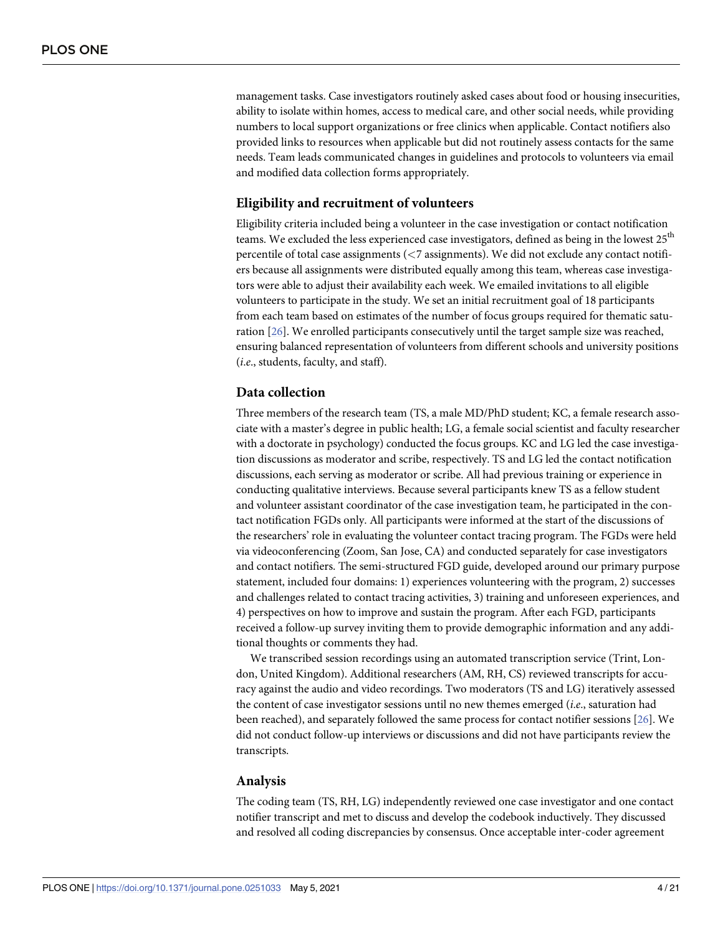<span id="page-3-0"></span>management tasks. Case investigators routinely asked cases about food or housing insecurities, ability to isolate within homes, access to medical care, and other social needs, while providing numbers to local support organizations or free clinics when applicable. Contact notifiers also provided links to resources when applicable but did not routinely assess contacts for the same needs. Team leads communicated changes in guidelines and protocols to volunteers via email and modified data collection forms appropriately.

#### **Eligibility and recruitment of volunteers**

Eligibility criteria included being a volunteer in the case investigation or contact notification teams. We excluded the less experienced case investigators, defined as being in the lowest  $25<sup>th</sup>$ percentile of total case assignments (*<*7 assignments). We did not exclude any contact notifiers because all assignments were distributed equally among this team, whereas case investigators were able to adjust their availability each week. We emailed invitations to all eligible volunteers to participate in the study. We set an initial recruitment goal of 18 participants from each team based on estimates of the number of focus groups required for thematic saturation [[26](#page-19-0)]. We enrolled participants consecutively until the target sample size was reached, ensuring balanced representation of volunteers from different schools and university positions (*i*.*e*., students, faculty, and staff).

#### **Data collection**

Three members of the research team (TS, a male MD/PhD student; KC, a female research associate with a master's degree in public health; LG, a female social scientist and faculty researcher with a doctorate in psychology) conducted the focus groups. KC and LG led the case investigation discussions as moderator and scribe, respectively. TS and LG led the contact notification discussions, each serving as moderator or scribe. All had previous training or experience in conducting qualitative interviews. Because several participants knew TS as a fellow student and volunteer assistant coordinator of the case investigation team, he participated in the contact notification FGDs only. All participants were informed at the start of the discussions of the researchers' role in evaluating the volunteer contact tracing program. The FGDs were held via videoconferencing (Zoom, San Jose, CA) and conducted separately for case investigators and contact notifiers. The semi-structured FGD guide, developed around our primary purpose statement, included four domains: 1) experiences volunteering with the program, 2) successes and challenges related to contact tracing activities, 3) training and unforeseen experiences, and 4) perspectives on how to improve and sustain the program. After each FGD, participants received a follow-up survey inviting them to provide demographic information and any additional thoughts or comments they had.

We transcribed session recordings using an automated transcription service (Trint, London, United Kingdom). Additional researchers (AM, RH, CS) reviewed transcripts for accuracy against the audio and video recordings. Two moderators (TS and LG) iteratively assessed the content of case investigator sessions until no new themes emerged (*i*.*e*., saturation had been reached), and separately followed the same process for contact notifier sessions [[26](#page-19-0)]. We did not conduct follow-up interviews or discussions and did not have participants review the transcripts.

#### **Analysis**

The coding team (TS, RH, LG) independently reviewed one case investigator and one contact notifier transcript and met to discuss and develop the codebook inductively. They discussed and resolved all coding discrepancies by consensus. Once acceptable inter-coder agreement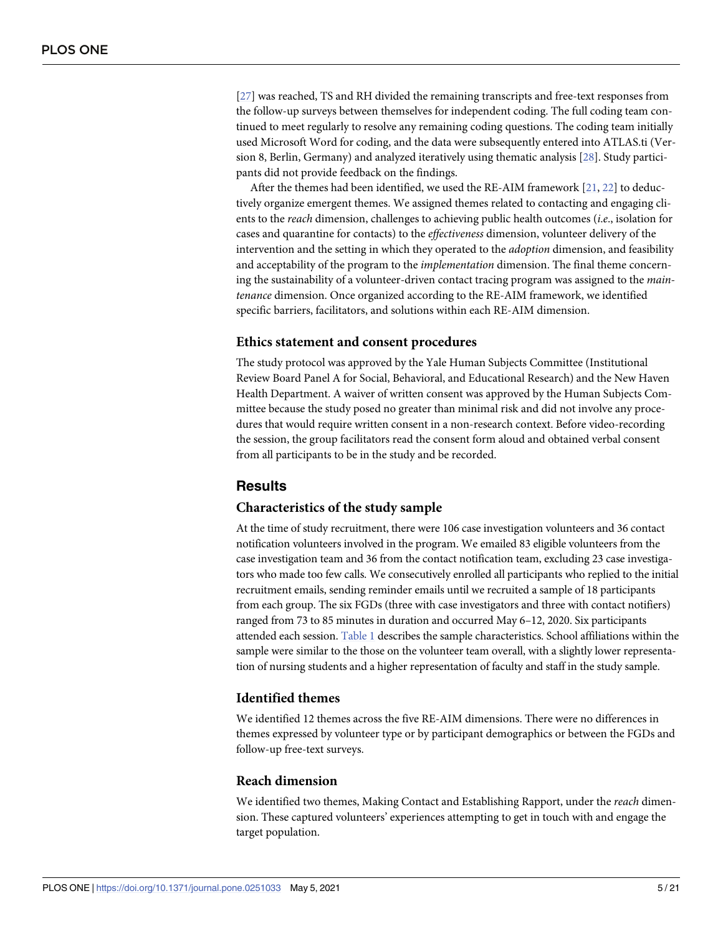<span id="page-4-0"></span>[\[27\]](#page-19-0) was reached, TS and RH divided the remaining transcripts and free-text responses from the follow-up surveys between themselves for independent coding. The full coding team continued to meet regularly to resolve any remaining coding questions. The coding team initially used Microsoft Word for coding, and the data were subsequently entered into ATLAS.ti (Version 8, Berlin, Germany) and analyzed iteratively using thematic analysis [[28](#page-19-0)]. Study participants did not provide feedback on the findings.

After the themes had been identified, we used the RE-AIM framework [\[21,](#page-19-0) [22\]](#page-19-0) to deductively organize emergent themes. We assigned themes related to contacting and engaging clients to the *reach* dimension, challenges to achieving public health outcomes (*i*.*e*., isolation for cases and quarantine for contacts) to the *effectiveness* dimension, volunteer delivery of the intervention and the setting in which they operated to the *adoption* dimension, and feasibility and acceptability of the program to the *implementation* dimension. The final theme concerning the sustainability of a volunteer-driven contact tracing program was assigned to the *maintenance* dimension. Once organized according to the RE-AIM framework, we identified specific barriers, facilitators, and solutions within each RE-AIM dimension.

#### **Ethics statement and consent procedures**

The study protocol was approved by the Yale Human Subjects Committee (Institutional Review Board Panel A for Social, Behavioral, and Educational Research) and the New Haven Health Department. A waiver of written consent was approved by the Human Subjects Committee because the study posed no greater than minimal risk and did not involve any procedures that would require written consent in a non-research context. Before video-recording the session, the group facilitators read the consent form aloud and obtained verbal consent from all participants to be in the study and be recorded.

#### **Results**

#### **Characteristics of the study sample**

At the time of study recruitment, there were 106 case investigation volunteers and 36 contact notification volunteers involved in the program. We emailed 83 eligible volunteers from the case investigation team and 36 from the contact notification team, excluding 23 case investigators who made too few calls. We consecutively enrolled all participants who replied to the initial recruitment emails, sending reminder emails until we recruited a sample of 18 participants from each group. The six FGDs (three with case investigators and three with contact notifiers) ranged from 73 to 85 minutes in duration and occurred May 6–12, 2020. Six participants attended each session. [Table](#page-5-0) 1 describes the sample characteristics. School affiliations within the sample were similar to the those on the volunteer team overall, with a slightly lower representation of nursing students and a higher representation of faculty and staff in the study sample.

#### **Identified themes**

We identified 12 themes across the five RE-AIM dimensions. There were no differences in themes expressed by volunteer type or by participant demographics or between the FGDs and follow-up free-text surveys.

#### **Reach dimension**

We identified two themes, Making Contact and Establishing Rapport, under the *reach* dimension. These captured volunteers' experiences attempting to get in touch with and engage the target population.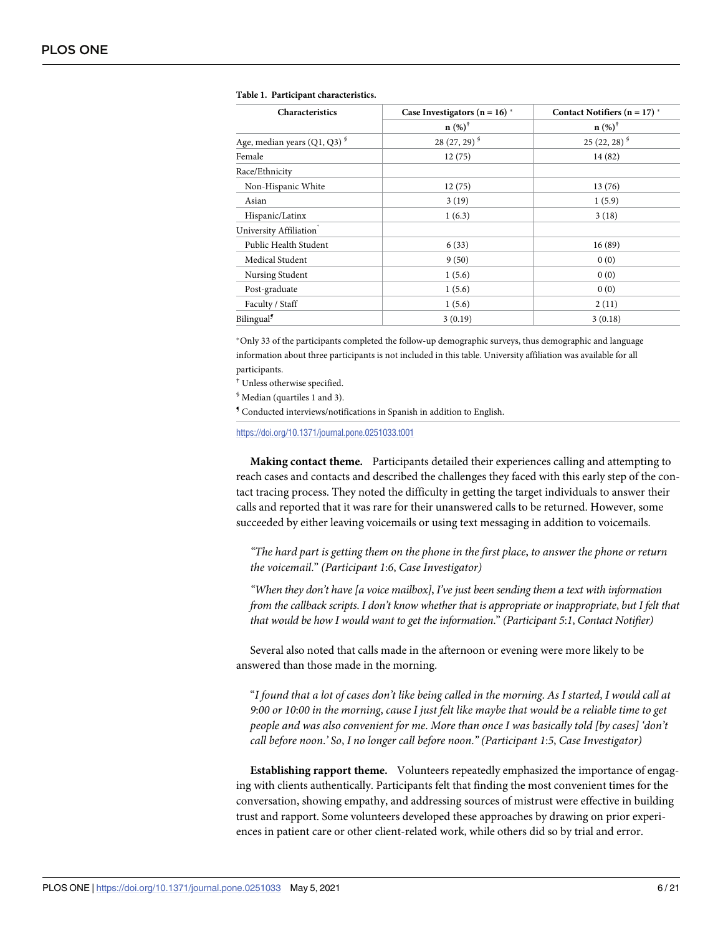| Characteristics                           | Case Investigators ( $n = 16$ ) * | Contact Notifiers ( $n = 17$ ) * |  |
|-------------------------------------------|-----------------------------------|----------------------------------|--|
|                                           | $n (%)^{\dagger}$                 | $n (%)^{\dagger}$                |  |
| Age, median years $(Q1, Q3)$ <sup>§</sup> | 28 $(27, 29)^{9}$                 | $25(22, 28)^{9}$                 |  |
| Female                                    | 12(75)                            | 14(82)                           |  |
| Race/Ethnicity                            |                                   |                                  |  |
| Non-Hispanic White                        | 12(75)                            | 13(76)                           |  |
| Asian                                     | 3(19)                             | 1(5.9)                           |  |
| Hispanic/Latinx                           | 1(6.3)                            | 3(18)                            |  |
| University Affiliation <sup>*</sup>       |                                   |                                  |  |
| Public Health Student                     | 6(33)                             | 16(89)                           |  |
| Medical Student                           | 9(50)                             | 0(0)                             |  |
| Nursing Student                           | 1(5.6)                            | 0(0)                             |  |
| Post-graduate                             | 1(5.6)                            | 0(0)                             |  |
| Faculty / Staff                           | 1(5.6)                            | 2(11)                            |  |
| Bilingual <sup>9</sup>                    | 3(0.19)                           | 3(0.18)                          |  |

#### <span id="page-5-0"></span>**[Table](#page-4-0) 1. Participant characteristics.**

�Only 33 of the participants completed the follow-up demographic surveys, thus demographic and language information about three participants is not included in this table. University affiliation was available for all participants.

† Unless otherwise specified.

§ Median (quartiles 1 and 3).

¶ Conducted interviews/notifications in Spanish in addition to English.

<https://doi.org/10.1371/journal.pone.0251033.t001>

**Making contact theme.** Participants detailed their experiences calling and attempting to reach cases and contacts and described the challenges they faced with this early step of the contact tracing process. They noted the difficulty in getting the target individuals to answer their calls and reported that it was rare for their unanswered calls to be returned. However, some succeeded by either leaving voicemails or using text messaging in addition to voicemails.

"The hard part is getting them on the phone in the first place, to answer the phone or return *the voicemail*." *(Participant 1*:*6*, *Case Investigator)*

*"When they don't have [a voice mailbox]*, *I've just been sending them a text with information from the callback scripts*. *I don't know whether that is appropriate or inappropriate*, *but I felt that that would be how I would want to get the information*." *(Participant 5*:*1*, *Contact Notifier)*

Several also noted that calls made in the afternoon or evening were more likely to be answered than those made in the morning.

"I found that a lot of cases don't like being called in the morning. As I started, I would call at 9:00 or 10:00 in the morning, cause I just felt like maybe that would be a reliable time to get *people and was also convenient for me*. *More than once I was basically told [by cases] 'don't call before noon*.*' So*, *I no longer call before noon*.*" (Participant 1*:*5*, *Case Investigator)*

**Establishing rapport theme.** Volunteers repeatedly emphasized the importance of engaging with clients authentically. Participants felt that finding the most convenient times for the conversation, showing empathy, and addressing sources of mistrust were effective in building trust and rapport. Some volunteers developed these approaches by drawing on prior experiences in patient care or other client-related work, while others did so by trial and error.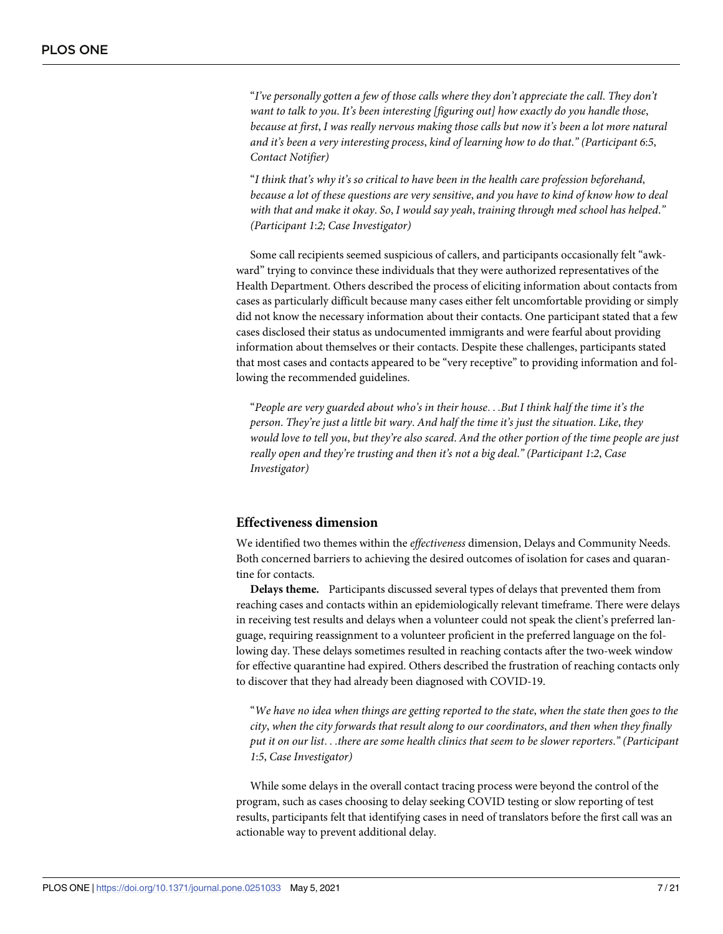"*I've personally gotten a few of those calls where they don't appreciate the call*. *They don't want to talk to you*. *It's been interesting [figuring out] how exactly do you handle those*, *because at first*, *I was really nervous making those calls but now it's been a lot more natural and it's been a very interesting process*, *kind of learning how to do that*.*" (Participant 6*:*5*, *Contact Notifier)*

"*I think that's why it's so critical to have been in the health care profession beforehand*, because a lot of these questions are very sensitive, and you have to kind of know how to deal *with that and make it okay*. *So*, *I would say yeah*, *training through med school has helped*.*" (Participant 1*:*2; Case Investigator)*

Some call recipients seemed suspicious of callers, and participants occasionally felt "awkward" trying to convince these individuals that they were authorized representatives of the Health Department. Others described the process of eliciting information about contacts from cases as particularly difficult because many cases either felt uncomfortable providing or simply did not know the necessary information about their contacts. One participant stated that a few cases disclosed their status as undocumented immigrants and were fearful about providing information about themselves or their contacts. Despite these challenges, participants stated that most cases and contacts appeared to be "very receptive" to providing information and following the recommended guidelines.

"*People are very guarded about who's in their house*. . .*But I think half the time it's the person*. *They're just a little bit wary*. *And half the time it's just the situation*. *Like*, *they* would love to tell you, but they're also scared. And the other portion of the time people are just *really open and they're trusting and then it's not a big deal*.*" (Participant 1*:*2*, *Case Investigator)*

#### **Effectiveness dimension**

We identified two themes within the *effectiveness* dimension, Delays and Community Needs. Both concerned barriers to achieving the desired outcomes of isolation for cases and quarantine for contacts.

**Delays theme.** Participants discussed several types of delays that prevented them from reaching cases and contacts within an epidemiologically relevant timeframe. There were delays in receiving test results and delays when a volunteer could not speak the client's preferred language, requiring reassignment to a volunteer proficient in the preferred language on the following day. These delays sometimes resulted in reaching contacts after the two-week window for effective quarantine had expired. Others described the frustration of reaching contacts only to discover that they had already been diagnosed with COVID-19.

"We have no idea when things are getting reported to the state, when the state then goes to the *city*, *when the city forwards that result along to our coordinators*, *and then when they finally* put it on our list...there are some health clinics that seem to be slower reporters." (Participant *1*:*5*, *Case Investigator)*

While some delays in the overall contact tracing process were beyond the control of the program, such as cases choosing to delay seeking COVID testing or slow reporting of test results, participants felt that identifying cases in need of translators before the first call was an actionable way to prevent additional delay.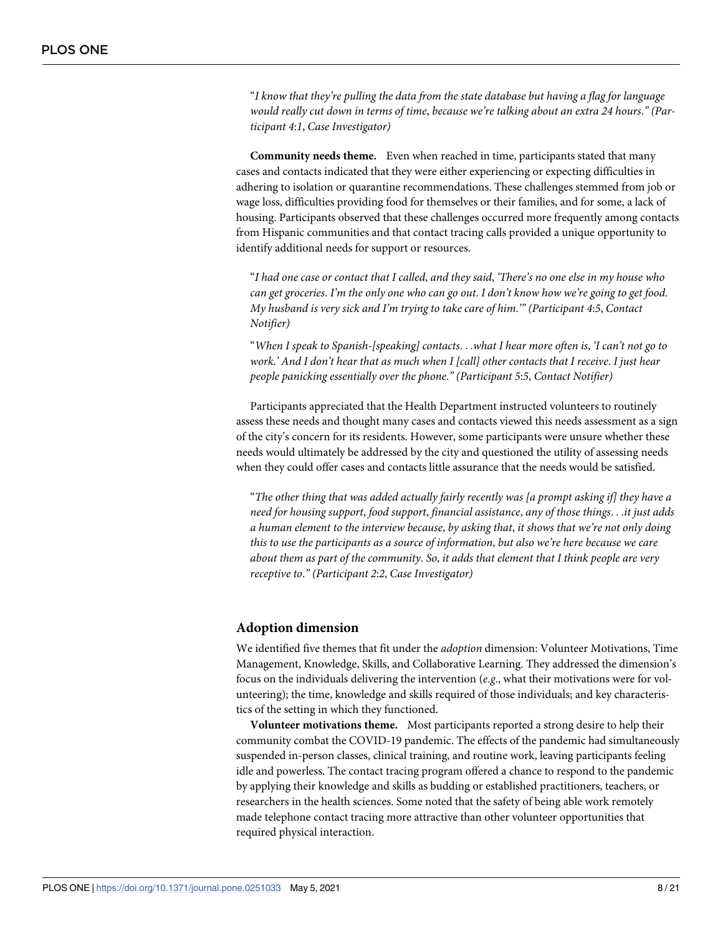"*I know that they're pulling the data from the state database but having a flag for language would really cut down in terms of time*, *because we're talking about an extra 24 hours*.*" (Participant 4*:*1*, *Case Investigator)*

**Community needs theme.** Even when reached in time, participants stated that many cases and contacts indicated that they were either experiencing or expecting difficulties in adhering to isolation or quarantine recommendations. These challenges stemmed from job or wage loss, difficulties providing food for themselves or their families, and for some, a lack of housing. Participants observed that these challenges occurred more frequently among contacts from Hispanic communities and that contact tracing calls provided a unique opportunity to identify additional needs for support or resources.

"I had one case or contact that I called, and they said, 'There's no one else in my house who can get groceries. I'm the only one who can go out. I don't know how we're going to get food. *My husband is very sick and I'm trying to take care of him*.*'" (Participant 4*:*5*, *Contact Notifier)*

"*When I speak to Spanish-[speaking] contacts*. . .*what I hear more often is*, *'I can't not go to* work.' And I don't hear that as much when I [call] other contacts that I receive. I just hear *people panicking essentially over the phone*.*" (Participant 5*:*5*, *Contact Notifier)*

Participants appreciated that the Health Department instructed volunteers to routinely assess these needs and thought many cases and contacts viewed this needs assessment as a sign of the city's concern for its residents. However, some participants were unsure whether these needs would ultimately be addressed by the city and questioned the utility of assessing needs when they could offer cases and contacts little assurance that the needs would be satisfied.

"*The other thing that was added actually fairly recently was [a prompt asking if] they have a need for housing support*, *food support*, *financial assistance*, *any of those things*. . .*it just adds a human element to the interview because*, *by asking that*, *it shows that we're not only doing this to use the participants as a source of information*, *but also we're here because we care about them as part of the community*. *So*, *it adds that element that I think people are very receptive to*.*" (Participant 2*:*2*, *Case Investigator)*

#### **Adoption dimension**

We identified five themes that fit under the *adoption* dimension: Volunteer Motivations, Time Management, Knowledge, Skills, and Collaborative Learning. They addressed the dimension's focus on the individuals delivering the intervention (*e*.*g*., what their motivations were for volunteering); the time, knowledge and skills required of those individuals; and key characteristics of the setting in which they functioned.

**Volunteer motivations theme.** Most participants reported a strong desire to help their community combat the COVID-19 pandemic. The effects of the pandemic had simultaneously suspended in-person classes, clinical training, and routine work, leaving participants feeling idle and powerless. The contact tracing program offered a chance to respond to the pandemic by applying their knowledge and skills as budding or established practitioners, teachers, or researchers in the health sciences. Some noted that the safety of being able work remotely made telephone contact tracing more attractive than other volunteer opportunities that required physical interaction.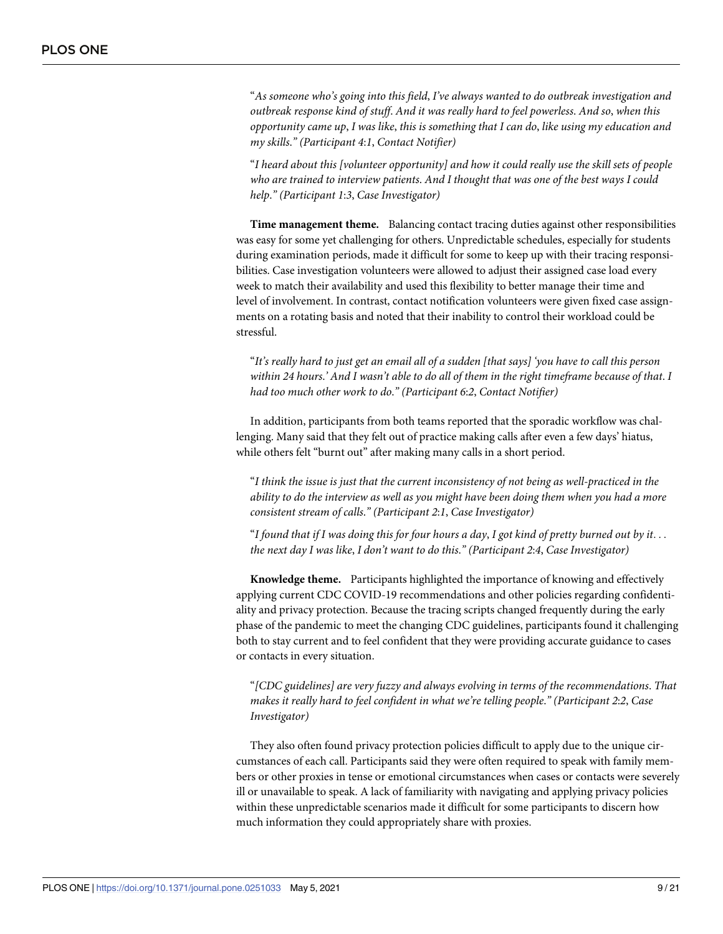"*As someone who's going into this field*, *I've always wanted to do outbreak investigation and outbreak response kind of stuff*. *And it was really hard to feel powerless*. *And so*, *when this opportunity came up*, *I was like*, *this is something that I can do*, *like using my education and my skills*.*" (Participant 4*:*1*, *Contact Notifier)*

"*I heard about this [volunteer opportunity] and how it could really use the skill sets of people who are trained to interview patients*. *And I thought that was one of the best ways I could help*.*" (Participant 1*:*3*, *Case Investigator)*

**Time management theme.** Balancing contact tracing duties against other responsibilities was easy for some yet challenging for others. Unpredictable schedules, especially for students during examination periods, made it difficult for some to keep up with their tracing responsibilities. Case investigation volunteers were allowed to adjust their assigned case load every week to match their availability and used this flexibility to better manage their time and level of involvement. In contrast, contact notification volunteers were given fixed case assignments on a rotating basis and noted that their inability to control their workload could be stressful.

"It's really hard to just get an email all of a sudden [that says] 'you have to call this person within 24 hours.' And I wasn't able to do all of them in the right timeframe because of that. I *had too much other work to do*.*" (Participant 6*:*2*, *Contact Notifier)*

In addition, participants from both teams reported that the sporadic workflow was challenging. Many said that they felt out of practice making calls after even a few days' hiatus, while others felt "burnt out" after making many calls in a short period.

"*I think the issue is just that the current inconsistency of not being as well-practiced in the ability to do the interview as well as you might have been doing them when you had a more consistent stream of calls*.*" (Participant 2*:*1*, *Case Investigator)*

"I found that if I was doing this for four hours a day, I got kind of pretty burned out by it... *the next day I was like*, *I don't want to do this*.*" (Participant 2*:*4*, *Case Investigator)*

**Knowledge theme.** Participants highlighted the importance of knowing and effectively applying current CDC COVID-19 recommendations and other policies regarding confidentiality and privacy protection. Because the tracing scripts changed frequently during the early phase of the pandemic to meet the changing CDC guidelines, participants found it challenging both to stay current and to feel confident that they were providing accurate guidance to cases or contacts in every situation.

"*[CDC guidelines] are very fuzzy and always evolving in terms of the recommendations*. *That makes it really hard to feel confident in what we're telling people*.*" (Participant 2*:*2*, *Case Investigator)*

They also often found privacy protection policies difficult to apply due to the unique circumstances of each call. Participants said they were often required to speak with family members or other proxies in tense or emotional circumstances when cases or contacts were severely ill or unavailable to speak. A lack of familiarity with navigating and applying privacy policies within these unpredictable scenarios made it difficult for some participants to discern how much information they could appropriately share with proxies.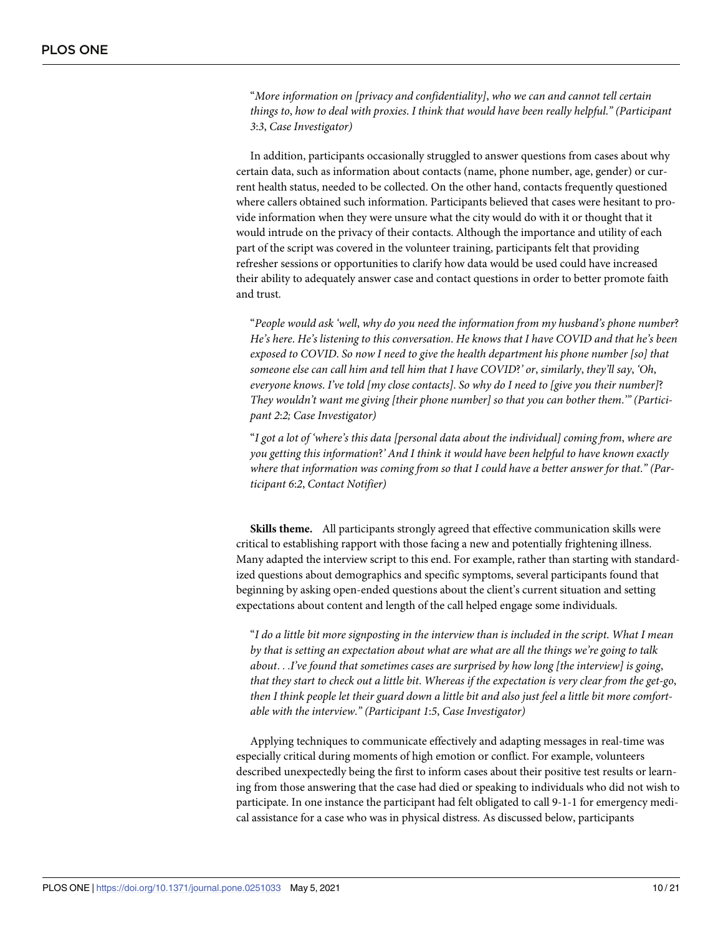"*More information on [privacy and confidentiality]*, *who we can and cannot tell certain things to*, *how to deal with proxies*. *I think that would have been really helpful*.*" (Participant 3*:*3*, *Case Investigator)*

In addition, participants occasionally struggled to answer questions from cases about why certain data, such as information about contacts (name, phone number, age, gender) or current health status, needed to be collected. On the other hand, contacts frequently questioned where callers obtained such information. Participants believed that cases were hesitant to provide information when they were unsure what the city would do with it or thought that it would intrude on the privacy of their contacts. Although the importance and utility of each part of the script was covered in the volunteer training, participants felt that providing refresher sessions or opportunities to clarify how data would be used could have increased their ability to adequately answer case and contact questions in order to better promote faith and trust.

"*People would ask 'well*, *why do you need the information from my husband's phone number*? *He's here*. *He's listening to this conversation*. *He knows that I have COVID and that he's been exposed to COVID*. *So now I need to give the health department his phone number [so] that someone else can call him and tell him that I have COVID*?*' or*, *similarly*, *they'll say*, *'Oh*, *everyone knows*. *I've told [my close contacts]*. *So why do I need to [give you their number]*? *They wouldn't want me giving [their phone number] so that you can bother them*.*'" (Participant 2*:*2; Case Investigator)*

"*I got a lot of 'where's this data [personal data about the individual] coming from*, *where are you getting this information*?*' And I think it would have been helpful to have known exactly where that information was coming from so that I could have a better answer for that*.*" (Participant 6*:*2*, *Contact Notifier)*

**Skills theme.** All participants strongly agreed that effective communication skills were critical to establishing rapport with those facing a new and potentially frightening illness. Many adapted the interview script to this end. For example, rather than starting with standardized questions about demographics and specific symptoms, several participants found that beginning by asking open-ended questions about the client's current situation and setting expectations about content and length of the call helped engage some individuals.

"I do a little bit more signposting in the interview than is included in the script. What I mean *by that is setting an expectation about what are what are all the things we're going to talk about*. . .*I've found that sometimes cases are surprised by how long [the interview] is going*, that they start to check out a little bit. Whereas if the expectation is very clear from the get-go, then I think people let their guard down a little bit and also just feel a little bit more comfort*able with the interview*.*" (Participant 1*:*5*, *Case Investigator)*

Applying techniques to communicate effectively and adapting messages in real-time was especially critical during moments of high emotion or conflict. For example, volunteers described unexpectedly being the first to inform cases about their positive test results or learning from those answering that the case had died or speaking to individuals who did not wish to participate. In one instance the participant had felt obligated to call 9-1-1 for emergency medical assistance for a case who was in physical distress. As discussed below, participants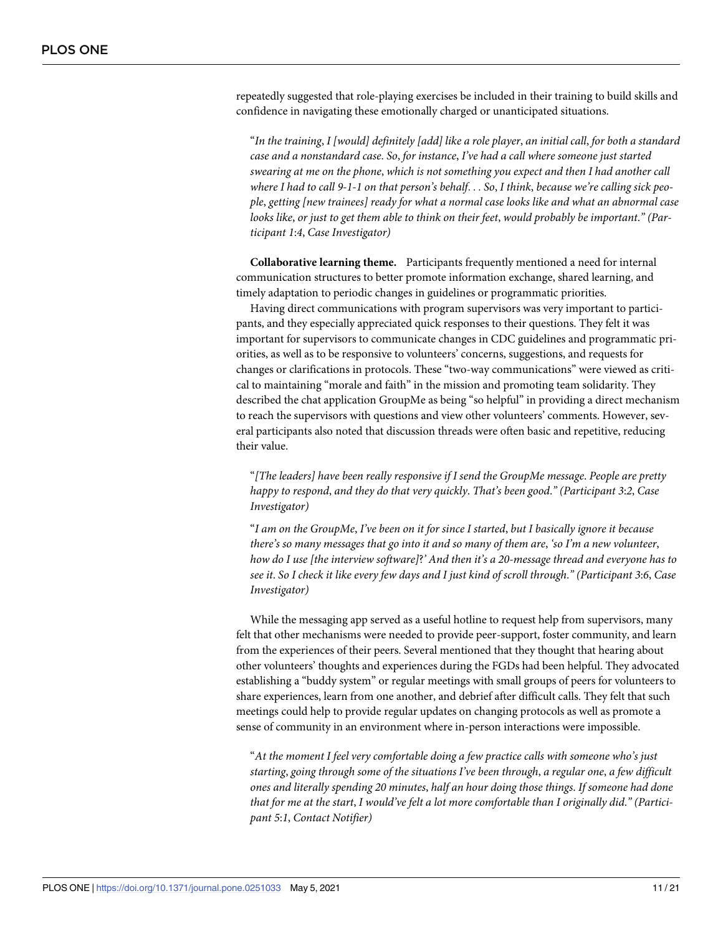repeatedly suggested that role-playing exercises be included in their training to build skills and confidence in navigating these emotionally charged or unanticipated situations.

"In the training, I [would] definitely [add] like a role player, an initial call, for both a standard *case and a nonstandard case*. *So*, *for instance*, *I've had a call where someone just started swearing at me on the phone*, *which is not something you expect and then I had another call* where I had to call 9-1-1 on that person's behalf... So, I think, because we're calling sick peo*ple*, *getting [new trainees] ready for what a normal case looks like and what an abnormal case* looks like, or just to get them able to think on their feet, would probably be important." (Par*ticipant 1*:*4*, *Case Investigator)*

**Collaborative learning theme.** Participants frequently mentioned a need for internal communication structures to better promote information exchange, shared learning, and timely adaptation to periodic changes in guidelines or programmatic priorities.

Having direct communications with program supervisors was very important to participants, and they especially appreciated quick responses to their questions. They felt it was important for supervisors to communicate changes in CDC guidelines and programmatic priorities, as well as to be responsive to volunteers' concerns, suggestions, and requests for changes or clarifications in protocols. These "two-way communications" were viewed as critical to maintaining "morale and faith" in the mission and promoting team solidarity. They described the chat application GroupMe as being "so helpful" in providing a direct mechanism to reach the supervisors with questions and view other volunteers' comments. However, several participants also noted that discussion threads were often basic and repetitive, reducing their value.

"*[The leaders] have been really responsive if I send the GroupMe message*. *People are pretty happy to respond*, *and they do that very quickly*. *That's been good*.*" (Participant 3*:*2*, *Case Investigator)*

"I am on the GroupMe, I've been on it for since I started, but I basically ignore it because *there's so many messages that go into it and so many of them are*, *'so I'm a new volunteer*, *how do I use [the interview software]*?*' And then it's a 20-message thread and everyone has to* see it. So I check it like every few days and I just kind of scroll through." (Participant 3:6, Case *Investigator)*

While the messaging app served as a useful hotline to request help from supervisors, many felt that other mechanisms were needed to provide peer-support, foster community, and learn from the experiences of their peers. Several mentioned that they thought that hearing about other volunteers' thoughts and experiences during the FGDs had been helpful. They advocated establishing a "buddy system" or regular meetings with small groups of peers for volunteers to share experiences, learn from one another, and debrief after difficult calls. They felt that such meetings could help to provide regular updates on changing protocols as well as promote a sense of community in an environment where in-person interactions were impossible.

"*At the moment I feel very comfortable doing a few practice calls with someone who's just starting*, *going through some of the situations I've been through*, *a regular one*, *a few difficult ones and literally spending 20 minutes*, *half an hour doing those things*. *If someone had done* that for me at the start, I would've felt a lot more comfortable than I originally did." (Partici*pant 5*:*1*, *Contact Notifier)*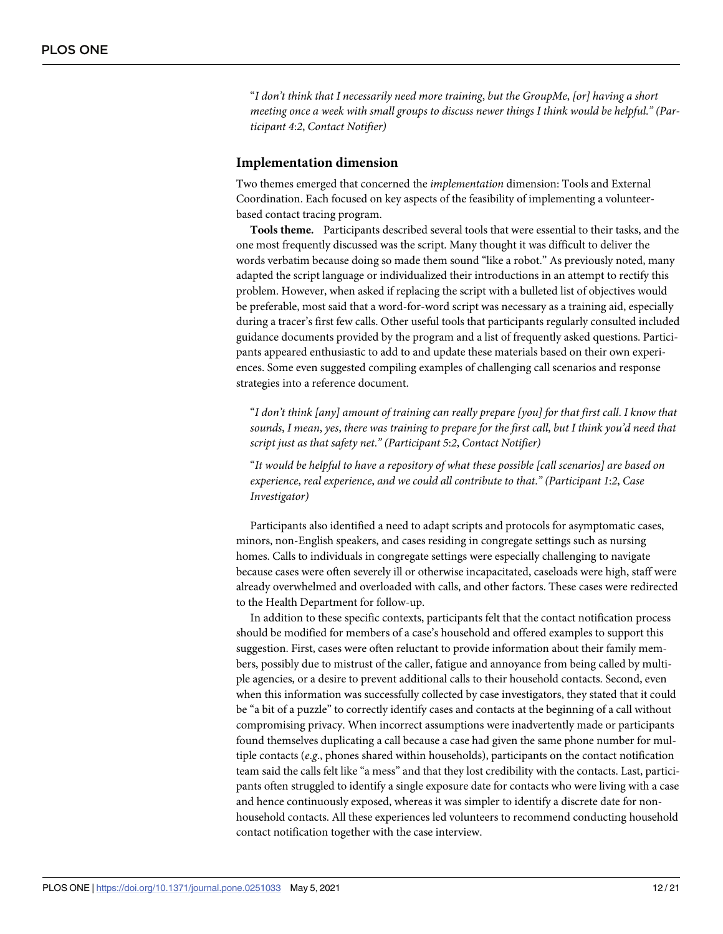"*I don't think that I necessarily need more training*, *but the GroupMe*, *[or] having a short meeting once a week with small groups to discuss newer things I think would be helpful*.*" (Participant 4*:*2*, *Contact Notifier)*

#### **Implementation dimension**

Two themes emerged that concerned the *implementation* dimension: Tools and External Coordination. Each focused on key aspects of the feasibility of implementing a volunteerbased contact tracing program.

**Tools theme.** Participants described several tools that were essential to their tasks, and the one most frequently discussed was the script. Many thought it was difficult to deliver the words verbatim because doing so made them sound "like a robot." As previously noted, many adapted the script language or individualized their introductions in an attempt to rectify this problem. However, when asked if replacing the script with a bulleted list of objectives would be preferable, most said that a word-for-word script was necessary as a training aid, especially during a tracer's first few calls. Other useful tools that participants regularly consulted included guidance documents provided by the program and a list of frequently asked questions. Participants appeared enthusiastic to add to and update these materials based on their own experiences. Some even suggested compiling examples of challenging call scenarios and response strategies into a reference document.

"*I don't think [any] amount of training can really prepare [you] for that first call*. *I know that* sounds, I mean, yes, there was training to prepare for the first call, but I think you'd need that *script just as that safety net*.*" (Participant 5*:*2*, *Contact Notifier)*

"*It would be helpful to have a repository of what these possible [call scenarios] are based on experience*, *real experience*, *and we could all contribute to that*.*" (Participant 1*:*2*, *Case Investigator)*

Participants also identified a need to adapt scripts and protocols for asymptomatic cases, minors, non-English speakers, and cases residing in congregate settings such as nursing homes. Calls to individuals in congregate settings were especially challenging to navigate because cases were often severely ill or otherwise incapacitated, caseloads were high, staff were already overwhelmed and overloaded with calls, and other factors. These cases were redirected to the Health Department for follow-up.

In addition to these specific contexts, participants felt that the contact notification process should be modified for members of a case's household and offered examples to support this suggestion. First, cases were often reluctant to provide information about their family members, possibly due to mistrust of the caller, fatigue and annoyance from being called by multiple agencies, or a desire to prevent additional calls to their household contacts. Second, even when this information was successfully collected by case investigators, they stated that it could be "a bit of a puzzle" to correctly identify cases and contacts at the beginning of a call without compromising privacy. When incorrect assumptions were inadvertently made or participants found themselves duplicating a call because a case had given the same phone number for multiple contacts (*e*.*g*., phones shared within households), participants on the contact notification team said the calls felt like "a mess" and that they lost credibility with the contacts. Last, participants often struggled to identify a single exposure date for contacts who were living with a case and hence continuously exposed, whereas it was simpler to identify a discrete date for nonhousehold contacts. All these experiences led volunteers to recommend conducting household contact notification together with the case interview.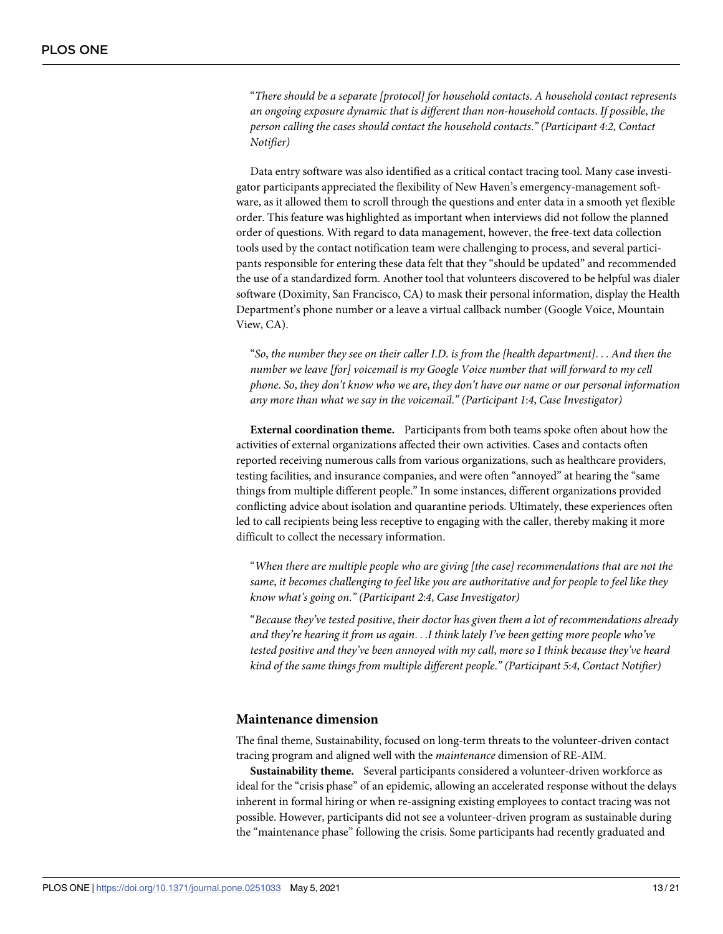"*There should be a separate [protocol] for household contacts*. *A household contact represents an ongoing exposure dynamic that is different than non-household contacts*. *If possible*, *the person calling the cases should contact the household contacts*.*" (Participant 4*:*2*, *Contact Notifier)*

Data entry software was also identified as a critical contact tracing tool. Many case investigator participants appreciated the flexibility of New Haven's emergency-management software, as it allowed them to scroll through the questions and enter data in a smooth yet flexible order. This feature was highlighted as important when interviews did not follow the planned order of questions. With regard to data management, however, the free-text data collection tools used by the contact notification team were challenging to process, and several participants responsible for entering these data felt that they "should be updated" and recommended the use of a standardized form. Another tool that volunteers discovered to be helpful was dialer software (Doximity, San Francisco, CA) to mask their personal information, display the Health Department's phone number or a leave a virtual callback number (Google Voice, Mountain View, CA).

"*So*, *the number they see on their caller I*.*D*. *is from the [health department]*. . . *And then the number we leave [for] voicemail is my Google Voice number that will forward to my cell phone*. *So*, *they don't know who we are*, *they don't have our name or our personal information any more than what we say in the voicemail*.*" (Participant 1*:*4*, *Case Investigator)*

**External coordination theme.** Participants from both teams spoke often about how the activities of external organizations affected their own activities. Cases and contacts often reported receiving numerous calls from various organizations, such as healthcare providers, testing facilities, and insurance companies, and were often "annoyed" at hearing the "same things from multiple different people." In some instances, different organizations provided conflicting advice about isolation and quarantine periods. Ultimately, these experiences often led to call recipients being less receptive to engaging with the caller, thereby making it more difficult to collect the necessary information.

"*When there are multiple people who are giving [the case] recommendations that are not the same*, *it becomes challenging to feel like you are authoritative and for people to feel like they know what's going on*.*" (Participant 2*:*4*, *Case Investigator)*

"*Because they've tested positive*, *their doctor has given them a lot of recommendations already and they're hearing it from us again*. . .*I think lately I've been getting more people who've tested positive and they've been annoyed with my call*, *more so I think because they've heard kind of the same things from multiple different people*.*" (Participant 5*:*4*, *Contact Notifier)*

#### **Maintenance dimension**

The final theme, Sustainability, focused on long-term threats to the volunteer-driven contact tracing program and aligned well with the *maintenance* dimension of RE-AIM.

**Sustainability theme.** Several participants considered a volunteer-driven workforce as ideal for the "crisis phase" of an epidemic, allowing an accelerated response without the delays inherent in formal hiring or when re-assigning existing employees to contact tracing was not possible. However, participants did not see a volunteer-driven program as sustainable during the "maintenance phase" following the crisis. Some participants had recently graduated and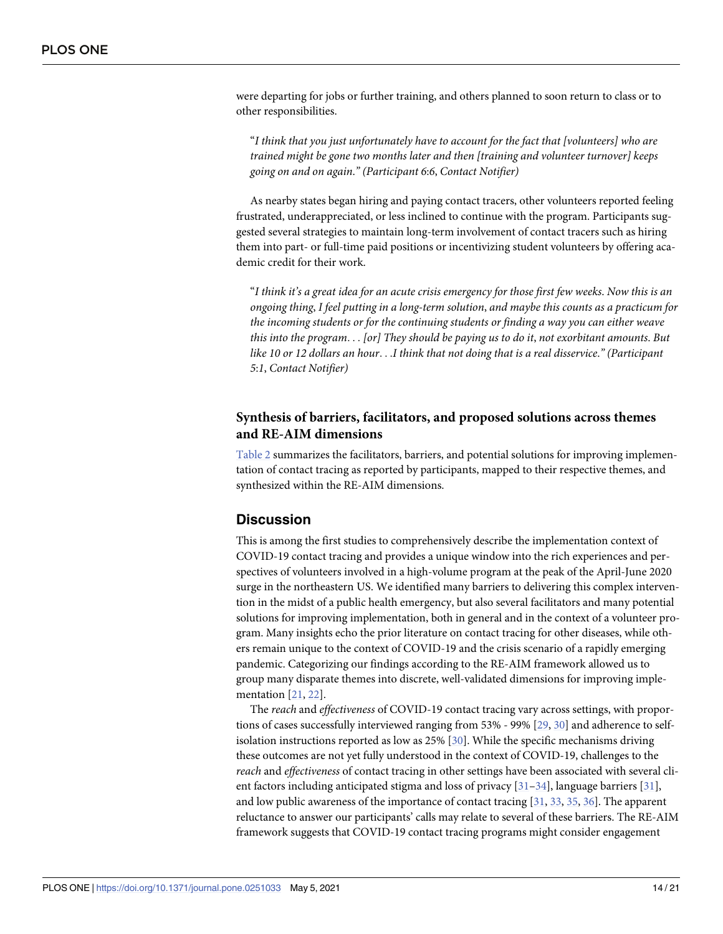<span id="page-13-0"></span>were departing for jobs or further training, and others planned to soon return to class or to other responsibilities.

"*I think that you just unfortunately have to account for the fact that [volunteers] who are trained might be gone two months later and then [training and volunteer turnover] keeps going on and on again*.*" (Participant 6*:*6*, *Contact Notifier)*

As nearby states began hiring and paying contact tracers, other volunteers reported feeling frustrated, underappreciated, or less inclined to continue with the program. Participants suggested several strategies to maintain long-term involvement of contact tracers such as hiring them into part- or full-time paid positions or incentivizing student volunteers by offering academic credit for their work.

"I think it's a great idea for an acute crisis emergency for those first few weeks. Now this is an *ongoing thing*, *I feel putting in a long-term solution*, *and maybe this counts as a practicum for the incoming students or for the continuing students or finding a way you can either weave this into the program*. . . *[or] They should be paying us to do it*, *not exorbitant amounts*. *But* like 10 or 12 dollars an hour. . .I think that not doing that is a real disservice." (Participant *5*:*1*, *Contact Notifier)*

#### **Synthesis of barriers, facilitators, and proposed solutions across themes and RE-AIM dimensions**

[Table](#page-14-0) 2 summarizes the facilitators, barriers, and potential solutions for improving implementation of contact tracing as reported by participants, mapped to their respective themes, and synthesized within the RE-AIM dimensions.

#### **Discussion**

This is among the first studies to comprehensively describe the implementation context of COVID-19 contact tracing and provides a unique window into the rich experiences and perspectives of volunteers involved in a high-volume program at the peak of the April-June 2020 surge in the northeastern US. We identified many barriers to delivering this complex intervention in the midst of a public health emergency, but also several facilitators and many potential solutions for improving implementation, both in general and in the context of a volunteer program. Many insights echo the prior literature on contact tracing for other diseases, while others remain unique to the context of COVID-19 and the crisis scenario of a rapidly emerging pandemic. Categorizing our findings according to the RE-AIM framework allowed us to group many disparate themes into discrete, well-validated dimensions for improving implementation [\[21,](#page-19-0) [22\]](#page-19-0).

The *reach* and *effectiveness* of COVID-19 contact tracing vary across settings, with proportions of cases successfully interviewed ranging from 53% - 99% [\[29,](#page-19-0) [30\]](#page-19-0) and adherence to selfisolation instructions reported as low as 25% [[30](#page-19-0)]. While the specific mechanisms driving these outcomes are not yet fully understood in the context of COVID-19, challenges to the *reach* and *effectiveness* of contact tracing in other settings have been associated with several client factors including anticipated stigma and loss of privacy [[31–34\]](#page-19-0), language barriers [\[31\]](#page-19-0), and low public awareness of the importance of contact tracing [\[31,](#page-19-0) [33,](#page-19-0) [35,](#page-19-0) [36](#page-19-0)]. The apparent reluctance to answer our participants' calls may relate to several of these barriers. The RE-AIM framework suggests that COVID-19 contact tracing programs might consider engagement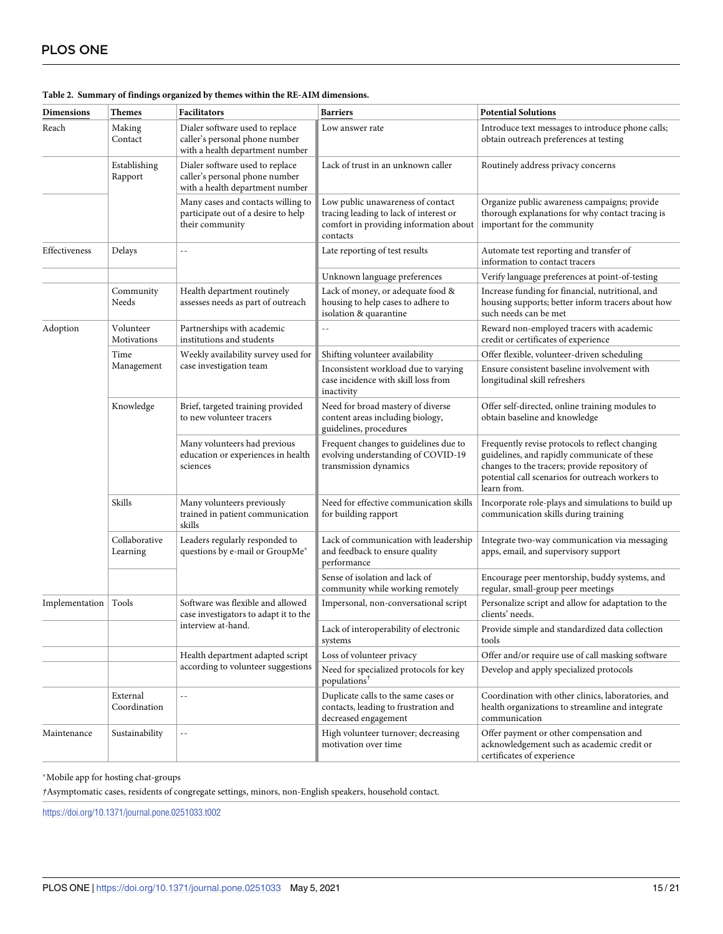| <b>Dimensions</b>      | <b>Themes</b>             | Facilitators                                                                                         | <b>Barriers</b>                                                                                                                   | <b>Potential Solutions</b>                                                                                                                                                                                          |
|------------------------|---------------------------|------------------------------------------------------------------------------------------------------|-----------------------------------------------------------------------------------------------------------------------------------|---------------------------------------------------------------------------------------------------------------------------------------------------------------------------------------------------------------------|
| Reach                  | Making<br>Contact         | Dialer software used to replace<br>caller's personal phone number<br>with a health department number | Low answer rate                                                                                                                   | Introduce text messages to introduce phone calls;<br>obtain outreach preferences at testing                                                                                                                         |
|                        | Establishing<br>Rapport   | Dialer software used to replace<br>caller's personal phone number<br>with a health department number | Lack of trust in an unknown caller                                                                                                | Routinely address privacy concerns                                                                                                                                                                                  |
|                        |                           | Many cases and contacts willing to<br>participate out of a desire to help<br>their community         | Low public unawareness of contact<br>tracing leading to lack of interest or<br>comfort in providing information about<br>contacts | Organize public awareness campaigns; provide<br>thorough explanations for why contact tracing is<br>important for the community                                                                                     |
| Effectiveness          | Delays                    | $-$                                                                                                  | Late reporting of test results                                                                                                    | Automate test reporting and transfer of<br>information to contact tracers                                                                                                                                           |
|                        |                           |                                                                                                      | Unknown language preferences                                                                                                      | Verify language preferences at point-of-testing                                                                                                                                                                     |
|                        | Community<br>Needs        | Health department routinely<br>assesses needs as part of outreach                                    | Lack of money, or adequate food &<br>housing to help cases to adhere to<br>isolation & quarantine                                 | Increase funding for financial, nutritional, and<br>housing supports; better inform tracers about how<br>such needs can be met                                                                                      |
| Adoption               | Volunteer<br>Motivations  | Partnerships with academic<br>institutions and students                                              | $\sim$ $-$                                                                                                                        | Reward non-employed tracers with academic<br>credit or certificates of experience                                                                                                                                   |
|                        | Time                      | Weekly availability survey used for<br>case investigation team                                       | Shifting volunteer availability                                                                                                   | Offer flexible, volunteer-driven scheduling                                                                                                                                                                         |
|                        | Management                |                                                                                                      | Inconsistent workload due to varying<br>case incidence with skill loss from<br>inactivity                                         | Ensure consistent baseline involvement with<br>longitudinal skill refreshers                                                                                                                                        |
|                        | Knowledge                 | Brief, targeted training provided<br>to new volunteer tracers                                        | Need for broad mastery of diverse<br>content areas including biology,<br>guidelines, procedures                                   | Offer self-directed, online training modules to<br>obtain baseline and knowledge                                                                                                                                    |
|                        |                           | Many volunteers had previous<br>education or experiences in health<br>sciences                       | Frequent changes to guidelines due to<br>evolving understanding of COVID-19<br>transmission dynamics                              | Frequently revise protocols to reflect changing<br>guidelines, and rapidly communicate of these<br>changes to the tracers; provide repository of<br>potential call scenarios for outreach workers to<br>learn from. |
|                        | Skills                    | Many volunteers previously<br>trained in patient communication<br>skills                             | Need for effective communication skills<br>for building rapport                                                                   | Incorporate role-plays and simulations to build up<br>communication skills during training                                                                                                                          |
|                        | Collaborative<br>Learning | Leaders regularly responded to<br>questions by e-mail or GroupMe*                                    | Lack of communication with leadership<br>and feedback to ensure quality<br>performance                                            | Integrate two-way communication via messaging<br>apps, email, and supervisory support                                                                                                                               |
|                        |                           |                                                                                                      | Sense of isolation and lack of<br>community while working remotely                                                                | Encourage peer mentorship, buddy systems, and<br>regular, small-group peer meetings                                                                                                                                 |
| Implementation   Tools |                           | Software was flexible and allowed<br>case investigators to adapt it to the<br>interview at-hand.     | Impersonal, non-conversational script                                                                                             | Personalize script and allow for adaptation to the<br>clients' needs.                                                                                                                                               |
|                        |                           |                                                                                                      | Lack of interoperability of electronic<br>systems                                                                                 | Provide simple and standardized data collection<br>tools                                                                                                                                                            |
|                        |                           | Health department adapted script                                                                     | Loss of volunteer privacy                                                                                                         | Offer and/or require use of call masking software                                                                                                                                                                   |
|                        |                           | according to volunteer suggestions                                                                   | Need for specialized protocols for key<br>populations <sup>†</sup>                                                                | Develop and apply specialized protocols                                                                                                                                                                             |
|                        | External<br>Coordination  | $\overline{a}$                                                                                       | Duplicate calls to the same cases or<br>contacts, leading to frustration and<br>decreased engagement                              | Coordination with other clinics, laboratories, and<br>health organizations to streamline and integrate<br>communication                                                                                             |
| Maintenance            | Sustainability            | $\overline{\phantom{a}}$                                                                             | High volunteer turnover; decreasing<br>motivation over time                                                                       | Offer payment or other compensation and<br>acknowledgement such as academic credit or<br>certificates of experience                                                                                                 |

#### <span id="page-14-0"></span>**[Table](#page-13-0) 2. Summary of findings organized by themes within the RE-AIM dimensions.**

 $^\ast$  Mobile app for hosting chat-groups

*†*Asymptomatic cases, residents of congregate settings, minors, non-English speakers, household contact.

<https://doi.org/10.1371/journal.pone.0251033.t002>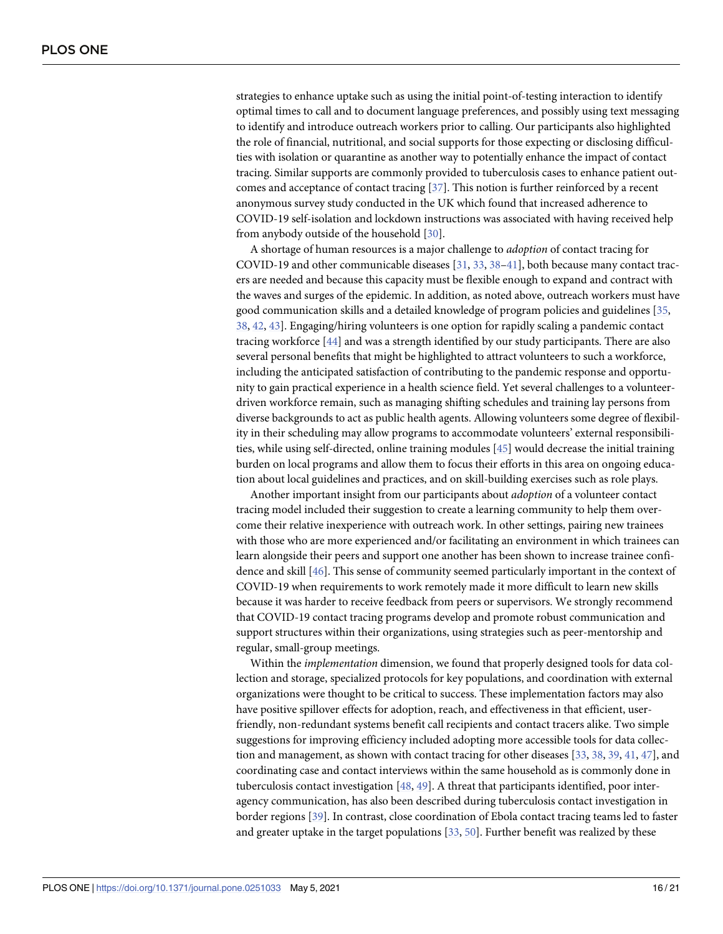<span id="page-15-0"></span>strategies to enhance uptake such as using the initial point-of-testing interaction to identify optimal times to call and to document language preferences, and possibly using text messaging to identify and introduce outreach workers prior to calling. Our participants also highlighted the role of financial, nutritional, and social supports for those expecting or disclosing difficulties with isolation or quarantine as another way to potentially enhance the impact of contact tracing. Similar supports are commonly provided to tuberculosis cases to enhance patient outcomes and acceptance of contact tracing [[37](#page-19-0)]. This notion is further reinforced by a recent anonymous survey study conducted in the UK which found that increased adherence to COVID-19 self-isolation and lockdown instructions was associated with having received help from anybody outside of the household [[30](#page-19-0)].

A shortage of human resources is a major challenge to *adoption* of contact tracing for COVID-19 and other communicable diseases [[31](#page-19-0), [33](#page-19-0), [38](#page-19-0)[–41\]](#page-20-0), both because many contact tracers are needed and because this capacity must be flexible enough to expand and contract with the waves and surges of the epidemic. In addition, as noted above, outreach workers must have good communication skills and a detailed knowledge of program policies and guidelines [\[35,](#page-19-0) [38,](#page-19-0) [42](#page-20-0), [43](#page-20-0)]. Engaging/hiring volunteers is one option for rapidly scaling a pandemic contact tracing workforce [[44](#page-20-0)] and was a strength identified by our study participants. There are also several personal benefits that might be highlighted to attract volunteers to such a workforce, including the anticipated satisfaction of contributing to the pandemic response and opportunity to gain practical experience in a health science field. Yet several challenges to a volunteerdriven workforce remain, such as managing shifting schedules and training lay persons from diverse backgrounds to act as public health agents. Allowing volunteers some degree of flexibility in their scheduling may allow programs to accommodate volunteers' external responsibilities, while using self-directed, online training modules [[45](#page-20-0)] would decrease the initial training burden on local programs and allow them to focus their efforts in this area on ongoing education about local guidelines and practices, and on skill-building exercises such as role plays.

Another important insight from our participants about *adoption* of a volunteer contact tracing model included their suggestion to create a learning community to help them overcome their relative inexperience with outreach work. In other settings, pairing new trainees with those who are more experienced and/or facilitating an environment in which trainees can learn alongside their peers and support one another has been shown to increase trainee confidence and skill [[46](#page-20-0)]. This sense of community seemed particularly important in the context of COVID-19 when requirements to work remotely made it more difficult to learn new skills because it was harder to receive feedback from peers or supervisors. We strongly recommend that COVID-19 contact tracing programs develop and promote robust communication and support structures within their organizations, using strategies such as peer-mentorship and regular, small-group meetings.

Within the *implementation* dimension, we found that properly designed tools for data collection and storage, specialized protocols for key populations, and coordination with external organizations were thought to be critical to success. These implementation factors may also have positive spillover effects for adoption, reach, and effectiveness in that efficient, userfriendly, non-redundant systems benefit call recipients and contact tracers alike. Two simple suggestions for improving efficiency included adopting more accessible tools for data collection and management, as shown with contact tracing for other diseases [\[33,](#page-19-0) [38,](#page-19-0) [39,](#page-20-0) [41,](#page-20-0) [47\]](#page-20-0), and coordinating case and contact interviews within the same household as is commonly done in tuberculosis contact investigation [[48](#page-20-0), [49](#page-20-0)]. A threat that participants identified, poor interagency communication, has also been described during tuberculosis contact investigation in border regions [\[39\]](#page-20-0). In contrast, close coordination of Ebola contact tracing teams led to faster and greater uptake in the target populations [[33](#page-19-0), [50](#page-20-0)]. Further benefit was realized by these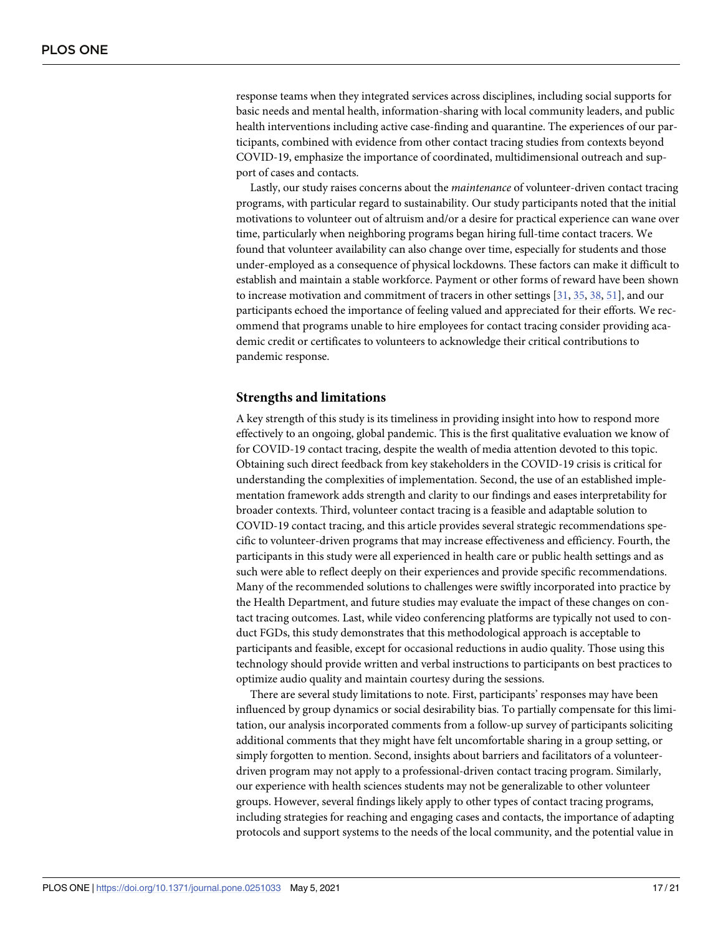<span id="page-16-0"></span>response teams when they integrated services across disciplines, including social supports for basic needs and mental health, information-sharing with local community leaders, and public health interventions including active case-finding and quarantine. The experiences of our participants, combined with evidence from other contact tracing studies from contexts beyond COVID-19, emphasize the importance of coordinated, multidimensional outreach and support of cases and contacts.

Lastly, our study raises concerns about the *maintenance* of volunteer-driven contact tracing programs, with particular regard to sustainability. Our study participants noted that the initial motivations to volunteer out of altruism and/or a desire for practical experience can wane over time, particularly when neighboring programs began hiring full-time contact tracers. We found that volunteer availability can also change over time, especially for students and those under-employed as a consequence of physical lockdowns. These factors can make it difficult to establish and maintain a stable workforce. Payment or other forms of reward have been shown to increase motivation and commitment of tracers in other settings [[31](#page-19-0), [35](#page-19-0), [38](#page-19-0), [51](#page-20-0)], and our participants echoed the importance of feeling valued and appreciated for their efforts. We recommend that programs unable to hire employees for contact tracing consider providing academic credit or certificates to volunteers to acknowledge their critical contributions to pandemic response.

#### **Strengths and limitations**

A key strength of this study is its timeliness in providing insight into how to respond more effectively to an ongoing, global pandemic. This is the first qualitative evaluation we know of for COVID-19 contact tracing, despite the wealth of media attention devoted to this topic. Obtaining such direct feedback from key stakeholders in the COVID-19 crisis is critical for understanding the complexities of implementation. Second, the use of an established implementation framework adds strength and clarity to our findings and eases interpretability for broader contexts. Third, volunteer contact tracing is a feasible and adaptable solution to COVID-19 contact tracing, and this article provides several strategic recommendations specific to volunteer-driven programs that may increase effectiveness and efficiency. Fourth, the participants in this study were all experienced in health care or public health settings and as such were able to reflect deeply on their experiences and provide specific recommendations. Many of the recommended solutions to challenges were swiftly incorporated into practice by the Health Department, and future studies may evaluate the impact of these changes on contact tracing outcomes. Last, while video conferencing platforms are typically not used to conduct FGDs, this study demonstrates that this methodological approach is acceptable to participants and feasible, except for occasional reductions in audio quality. Those using this technology should provide written and verbal instructions to participants on best practices to optimize audio quality and maintain courtesy during the sessions.

There are several study limitations to note. First, participants' responses may have been influenced by group dynamics or social desirability bias. To partially compensate for this limitation, our analysis incorporated comments from a follow-up survey of participants soliciting additional comments that they might have felt uncomfortable sharing in a group setting, or simply forgotten to mention. Second, insights about barriers and facilitators of a volunteerdriven program may not apply to a professional-driven contact tracing program. Similarly, our experience with health sciences students may not be generalizable to other volunteer groups. However, several findings likely apply to other types of contact tracing programs, including strategies for reaching and engaging cases and contacts, the importance of adapting protocols and support systems to the needs of the local community, and the potential value in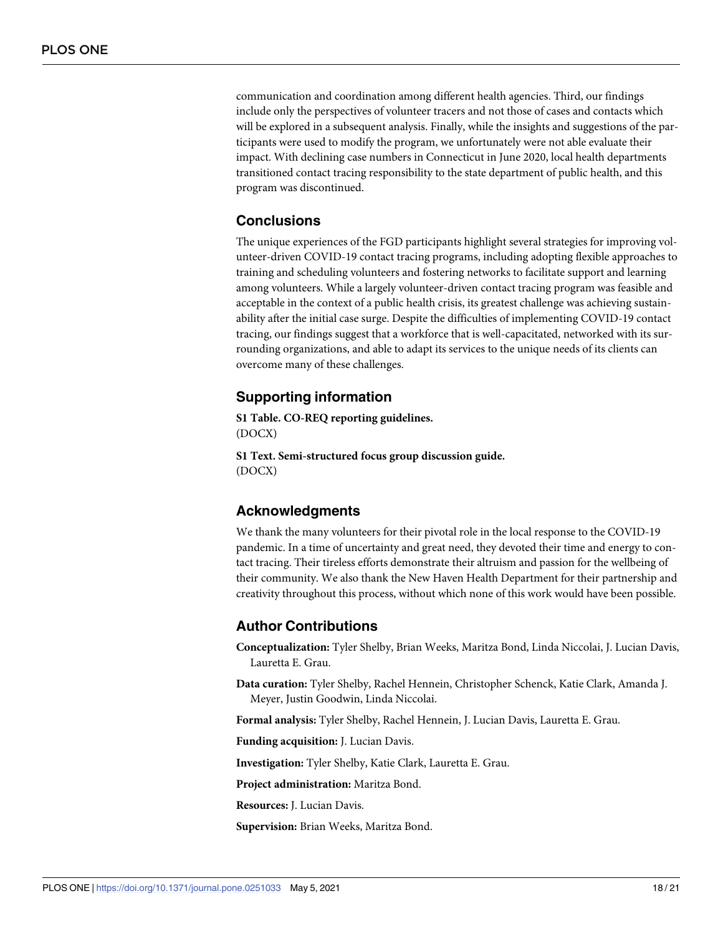<span id="page-17-0"></span>communication and coordination among different health agencies. Third, our findings include only the perspectives of volunteer tracers and not those of cases and contacts which will be explored in a subsequent analysis. Finally, while the insights and suggestions of the participants were used to modify the program, we unfortunately were not able evaluate their impact. With declining case numbers in Connecticut in June 2020, local health departments transitioned contact tracing responsibility to the state department of public health, and this program was discontinued.

#### **Conclusions**

The unique experiences of the FGD participants highlight several strategies for improving volunteer-driven COVID-19 contact tracing programs, including adopting flexible approaches to training and scheduling volunteers and fostering networks to facilitate support and learning among volunteers. While a largely volunteer-driven contact tracing program was feasible and acceptable in the context of a public health crisis, its greatest challenge was achieving sustainability after the initial case surge. Despite the difficulties of implementing COVID-19 contact tracing, our findings suggest that a workforce that is well-capacitated, networked with its surrounding organizations, and able to adapt its services to the unique needs of its clients can overcome many of these challenges.

#### **Supporting information**

**S1 [Table.](http://www.plosone.org/article/fetchSingleRepresentation.action?uri=info:doi/10.1371/journal.pone.0251033.s001) CO-REQ reporting guidelines.** (DOCX)

**S1 [Text](http://www.plosone.org/article/fetchSingleRepresentation.action?uri=info:doi/10.1371/journal.pone.0251033.s002). Semi-structured focus group discussion guide.** (DOCX)

#### **Acknowledgments**

We thank the many volunteers for their pivotal role in the local response to the COVID-19 pandemic. In a time of uncertainty and great need, they devoted their time and energy to contact tracing. Their tireless efforts demonstrate their altruism and passion for the wellbeing of their community. We also thank the New Haven Health Department for their partnership and creativity throughout this process, without which none of this work would have been possible.

#### **Author Contributions**

**Conceptualization:** Tyler Shelby, Brian Weeks, Maritza Bond, Linda Niccolai, J. Lucian Davis, Lauretta E. Grau.

**Data curation:** Tyler Shelby, Rachel Hennein, Christopher Schenck, Katie Clark, Amanda J. Meyer, Justin Goodwin, Linda Niccolai.

**Formal analysis:** Tyler Shelby, Rachel Hennein, J. Lucian Davis, Lauretta E. Grau.

**Funding acquisition:** J. Lucian Davis.

**Investigation:** Tyler Shelby, Katie Clark, Lauretta E. Grau.

**Project administration:** Maritza Bond.

**Resources:** J. Lucian Davis.

**Supervision:** Brian Weeks, Maritza Bond.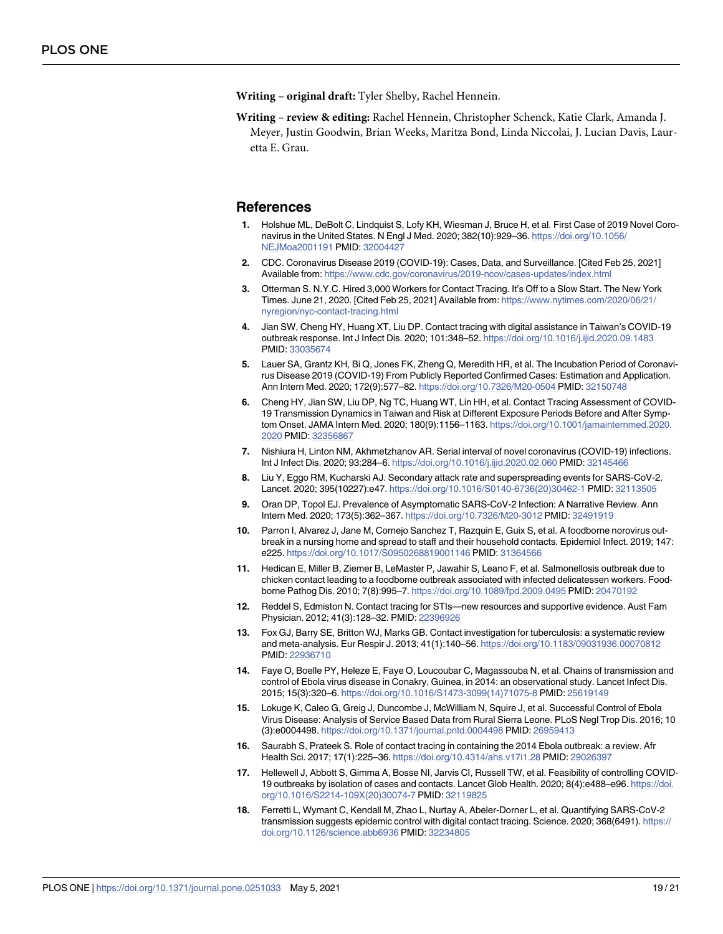- <span id="page-18-0"></span>**Writing – original draft:** Tyler Shelby, Rachel Hennein.
- **Writing – review & editing:** Rachel Hennein, Christopher Schenck, Katie Clark, Amanda J. Meyer, Justin Goodwin, Brian Weeks, Maritza Bond, Linda Niccolai, J. Lucian Davis, Lauretta E. Grau.

#### **References**

- **[1](#page-1-0).** Holshue ML, DeBolt C, Lindquist S, Lofy KH, Wiesman J, Bruce H, et al. First Case of 2019 Novel Coronavirus in the United States. N Engl J Med. 2020; 382(10):929–36. [https://doi.org/10.1056/](https://doi.org/10.1056/NEJMoa2001191) [NEJMoa2001191](https://doi.org/10.1056/NEJMoa2001191) PMID: [32004427](http://www.ncbi.nlm.nih.gov/pubmed/32004427)
- **[2](#page-1-0).** CDC. Coronavirus Disease 2019 (COVID-19): Cases, Data, and Surveillance. [Cited Feb 25, 2021] Available from: <https://www.cdc.gov/coronavirus/2019-ncov/cases-updates/index.html>
- **[3](#page-1-0).** Otterman S. N.Y.C. Hired 3,000 Workers for Contact Tracing. It's Off to a Slow Start. The New York Times. June 21, 2020. [Cited Feb 25, 2021] Available from: [https://www.nytimes.com/2020/06/21/](https://www.nytimes.com/2020/06/21/nyregion/nyc-contact-tracing.html) [nyregion/nyc-contact-tracing.html](https://www.nytimes.com/2020/06/21/nyregion/nyc-contact-tracing.html)
- **[4](#page-1-0).** Jian SW, Cheng HY, Huang XT, Liu DP. Contact tracing with digital assistance in Taiwan's COVID-19 outbreak response. Int J Infect Dis. 2020; 101:348–52. <https://doi.org/10.1016/j.ijid.2020.09.1483> PMID: [33035674](http://www.ncbi.nlm.nih.gov/pubmed/33035674)
- **[5](#page-1-0).** Lauer SA, Grantz KH, Bi Q, Jones FK, Zheng Q, Meredith HR, et al. The Incubation Period of Coronavirus Disease 2019 (COVID-19) From Publicly Reported Confirmed Cases: Estimation and Application. Ann Intern Med. 2020; 172(9):577–82. <https://doi.org/10.7326/M20-0504> PMID: [32150748](http://www.ncbi.nlm.nih.gov/pubmed/32150748)
- **[6](#page-1-0).** Cheng HY, Jian SW, Liu DP, Ng TC, Huang WT, Lin HH, et al. Contact Tracing Assessment of COVID-19 Transmission Dynamics in Taiwan and Risk at Different Exposure Periods Before and After Symptom Onset. JAMA Intern Med. 2020; 180(9):1156–1163. [https://doi.org/10.1001/jamainternmed.2020.](https://doi.org/10.1001/jamainternmed.2020.2020) [2020](https://doi.org/10.1001/jamainternmed.2020.2020) PMID: [32356867](http://www.ncbi.nlm.nih.gov/pubmed/32356867)
- **[7](#page-1-0).** Nishiura H, Linton NM, Akhmetzhanov AR. Serial interval of novel coronavirus (COVID-19) infections. Int J Infect Dis. 2020; 93:284–6. <https://doi.org/10.1016/j.ijid.2020.02.060> PMID: [32145466](http://www.ncbi.nlm.nih.gov/pubmed/32145466)
- **[8](#page-1-0).** Liu Y, Eggo RM, Kucharski AJ. Secondary attack rate and superspreading events for SARS-CoV-2. Lancet. 2020; 395(10227):e47. [https://doi.org/10.1016/S0140-6736\(20\)30462-1](https://doi.org/10.1016/S0140-6736%2820%2930462-1) PMID: [32113505](http://www.ncbi.nlm.nih.gov/pubmed/32113505)
- **[9](#page-1-0).** Oran DP, Topol EJ. Prevalence of Asymptomatic SARS-CoV-2 Infection: A Narrative Review. Ann Intern Med. 2020; 173(5):362–367. <https://doi.org/10.7326/M20-3012> PMID: [32491919](http://www.ncbi.nlm.nih.gov/pubmed/32491919)
- **[10](#page-1-0).** Parron I, Alvarez J, Jane M, Cornejo Sanchez T, Razquin E, Guix S, et al. A foodborne norovirus outbreak in a nursing home and spread to staff and their household contacts. Epidemiol Infect. 2019; 147: e225. <https://doi.org/10.1017/S0950268819001146> PMID: [31364566](http://www.ncbi.nlm.nih.gov/pubmed/31364566)
- **[11](#page-1-0).** Hedican E, Miller B, Ziemer B, LeMaster P, Jawahir S, Leano F, et al. Salmonellosis outbreak due to chicken contact leading to a foodborne outbreak associated with infected delicatessen workers. Foodborne Pathog Dis. 2010; 7(8):995–7. <https://doi.org/10.1089/fpd.2009.0495> PMID: [20470192](http://www.ncbi.nlm.nih.gov/pubmed/20470192)
- **[12](#page-1-0).** Reddel S, Edmiston N. Contact tracing for STIs—new resources and supportive evidence. Aust Fam Physician. 2012; 41(3):128–32. PMID: [22396926](http://www.ncbi.nlm.nih.gov/pubmed/22396926)
- **[13](#page-1-0).** Fox GJ, Barry SE, Britton WJ, Marks GB. Contact investigation for tuberculosis: a systematic review and meta-analysis. Eur Respir J. 2013; 41(1):140–56. <https://doi.org/10.1183/09031936.00070812> PMID: [22936710](http://www.ncbi.nlm.nih.gov/pubmed/22936710)
- **[14](#page-1-0).** Faye O, Boelle PY, Heleze E, Faye O, Loucoubar C, Magassouba N, et al. Chains of transmission and control of Ebola virus disease in Conakry, Guinea, in 2014: an observational study. Lancet Infect Dis. 2015; 15(3):320–6. [https://doi.org/10.1016/S1473-3099\(14\)71075-8](https://doi.org/10.1016/S1473-3099%2814%2971075-8) PMID: [25619149](http://www.ncbi.nlm.nih.gov/pubmed/25619149)
- **15.** Lokuge K, Caleo G, Greig J, Duncombe J, McWilliam N, Squire J, et al. Successful Control of Ebola Virus Disease: Analysis of Service Based Data from Rural Sierra Leone. PLoS Negl Trop Dis. 2016; 10 (3):e0004498. <https://doi.org/10.1371/journal.pntd.0004498> PMID: [26959413](http://www.ncbi.nlm.nih.gov/pubmed/26959413)
- **[16](#page-1-0).** Saurabh S, Prateek S. Role of contact tracing in containing the 2014 Ebola outbreak: a review. Afr Health Sci. 2017; 17(1):225–36. <https://doi.org/10.4314/ahs.v17i1.28> PMID: [29026397](http://www.ncbi.nlm.nih.gov/pubmed/29026397)
- **[17](#page-1-0).** Hellewell J, Abbott S, Gimma A, Bosse NI, Jarvis CI, Russell TW, et al. Feasibility of controlling COVID-19 outbreaks by isolation of cases and contacts. Lancet Glob Health. 2020; 8(4):e488–e96. [https://doi.](https://doi.org/10.1016/S2214-109X%2820%2930074-7) [org/10.1016/S2214-109X\(20\)30074-7](https://doi.org/10.1016/S2214-109X%2820%2930074-7) PMID: [32119825](http://www.ncbi.nlm.nih.gov/pubmed/32119825)
- **[18](#page-1-0).** Ferretti L, Wymant C, Kendall M, Zhao L, Nurtay A, Abeler-Dorner L, et al. Quantifying SARS-CoV-2 transmission suggests epidemic control with digital contact tracing. Science. 2020; 368(6491). [https://](https://doi.org/10.1126/science.abb6936) [doi.org/10.1126/science.abb6936](https://doi.org/10.1126/science.abb6936) PMID: [32234805](http://www.ncbi.nlm.nih.gov/pubmed/32234805)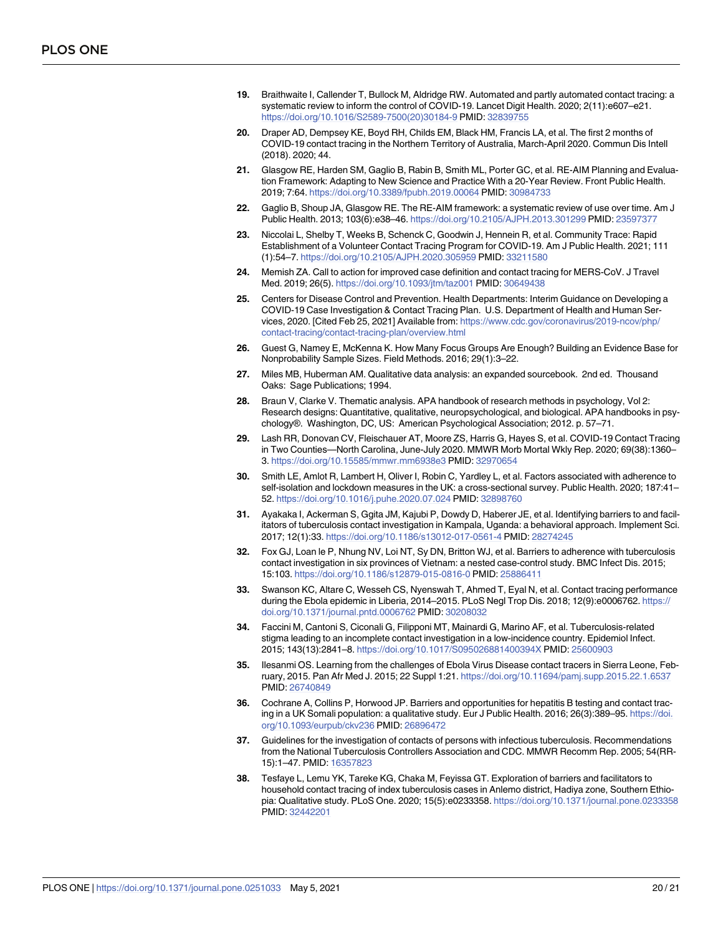- <span id="page-19-0"></span>**[19](#page-1-0).** Braithwaite I, Callender T, Bullock M, Aldridge RW. Automated and partly automated contact tracing: a systematic review to inform the control of COVID-19. Lancet Digit Health. 2020; 2(11):e607–e21. [https://doi.org/10.1016/S2589-7500\(20\)30184-9](https://doi.org/10.1016/S2589-7500%2820%2930184-9) PMID: [32839755](http://www.ncbi.nlm.nih.gov/pubmed/32839755)
- **[20](#page-1-0).** Draper AD, Dempsey KE, Boyd RH, Childs EM, Black HM, Francis LA, et al. The first 2 months of COVID-19 contact tracing in the Northern Territory of Australia, March-April 2020. Commun Dis Intell (2018). 2020; 44.
- **[21](#page-1-0).** Glasgow RE, Harden SM, Gaglio B, Rabin B, Smith ML, Porter GC, et al. RE-AIM Planning and Evaluation Framework: Adapting to New Science and Practice With a 20-Year Review. Front Public Health. 2019; 7:64. <https://doi.org/10.3389/fpubh.2019.00064> PMID: [30984733](http://www.ncbi.nlm.nih.gov/pubmed/30984733)
- **[22](#page-1-0).** Gaglio B, Shoup JA, Glasgow RE. The RE-AIM framework: a systematic review of use over time. Am J Public Health. 2013; 103(6):e38–46. <https://doi.org/10.2105/AJPH.2013.301299> PMID: [23597377](http://www.ncbi.nlm.nih.gov/pubmed/23597377)
- **[23](#page-2-0).** Niccolai L, Shelby T, Weeks B, Schenck C, Goodwin J, Hennein R, et al. Community Trace: Rapid Establishment of a Volunteer Contact Tracing Program for COVID-19. Am J Public Health. 2021; 111 (1):54–7. <https://doi.org/10.2105/AJPH.2020.305959> PMID: [33211580](http://www.ncbi.nlm.nih.gov/pubmed/33211580)
- **[24](#page-2-0).** Memish ZA. Call to action for improved case definition and contact tracing for MERS-CoV. J Travel Med. 2019; 26(5). <https://doi.org/10.1093/jtm/taz001> PMID: [30649438](http://www.ncbi.nlm.nih.gov/pubmed/30649438)
- **[25](#page-2-0).** Centers for Disease Control and Prevention. Health Departments: Interim Guidance on Developing a COVID-19 Case Investigation & Contact Tracing Plan. U.S. Department of Health and Human Services, 2020. [Cited Feb 25, 2021] Available from: [https://www.cdc.gov/coronavirus/2019-ncov/php/](https://www.cdc.gov/coronavirus/2019-ncov/php/contact-tracing/contact-tracing-plan/overview.html) [contact-tracing/contact-tracing-plan/overview.html](https://www.cdc.gov/coronavirus/2019-ncov/php/contact-tracing/contact-tracing-plan/overview.html)
- **[26](#page-3-0).** Guest G, Namey E, McKenna K. How Many Focus Groups Are Enough? Building an Evidence Base for Nonprobability Sample Sizes. Field Methods. 2016; 29(1):3–22.
- **[27](#page-3-0).** Miles MB, Huberman AM. Qualitative data analysis: an expanded sourcebook. 2nd ed. Thousand Oaks: Sage Publications; 1994.
- **[28](#page-4-0).** Braun V, Clarke V. Thematic analysis. APA handbook of research methods in psychology, Vol 2: Research designs: Quantitative, qualitative, neuropsychological, and biological. APA handbooks in psychology®. Washington, DC, US: American Psychological Association; 2012. p. 57–71.
- **[29](#page-13-0).** Lash RR, Donovan CV, Fleischauer AT, Moore ZS, Harris G, Hayes S, et al. COVID-19 Contact Tracing in Two Counties—North Carolina, June-July 2020. MMWR Morb Mortal Wkly Rep. 2020; 69(38):1360– 3. <https://doi.org/10.15585/mmwr.mm6938e3> PMID: [32970654](http://www.ncbi.nlm.nih.gov/pubmed/32970654)
- **[30](#page-13-0).** Smith LE, Amlot R, Lambert H, Oliver I, Robin C, Yardley L, et al. Factors associated with adherence to self-isolation and lockdown measures in the UK: a cross-sectional survey. Public Health. 2020; 187:41– 52. <https://doi.org/10.1016/j.puhe.2020.07.024> PMID: [32898760](http://www.ncbi.nlm.nih.gov/pubmed/32898760)
- **[31](#page-13-0).** Ayakaka I, Ackerman S, Ggita JM, Kajubi P, Dowdy D, Haberer JE, et al. Identifying barriers to and facilitators of tuberculosis contact investigation in Kampala, Uganda: a behavioral approach. Implement Sci. 2017; 12(1):33. <https://doi.org/10.1186/s13012-017-0561-4> PMID: [28274245](http://www.ncbi.nlm.nih.gov/pubmed/28274245)
- **32.** Fox GJ, Loan le P, Nhung NV, Loi NT, Sy DN, Britton WJ, et al. Barriers to adherence with tuberculosis contact investigation in six provinces of Vietnam: a nested case-control study. BMC Infect Dis. 2015; 15:103. <https://doi.org/10.1186/s12879-015-0816-0> PMID: [25886411](http://www.ncbi.nlm.nih.gov/pubmed/25886411)
- **[33](#page-13-0).** Swanson KC, Altare C, Wesseh CS, Nyenswah T, Ahmed T, Eyal N, et al. Contact tracing performance during the Ebola epidemic in Liberia, 2014–2015. PLoS Negl Trop Dis. 2018; 12(9):e0006762. [https://](https://doi.org/10.1371/journal.pntd.0006762) [doi.org/10.1371/journal.pntd.0006762](https://doi.org/10.1371/journal.pntd.0006762) PMID: [30208032](http://www.ncbi.nlm.nih.gov/pubmed/30208032)
- **[34](#page-13-0).** Faccini M, Cantoni S, Ciconali G, Filipponi MT, Mainardi G, Marino AF, et al. Tuberculosis-related stigma leading to an incomplete contact investigation in a low-incidence country. Epidemiol Infect. 2015; 143(13):2841–8. <https://doi.org/10.1017/S095026881400394X> PMID: [25600903](http://www.ncbi.nlm.nih.gov/pubmed/25600903)
- **[35](#page-13-0).** Ilesanmi OS. Learning from the challenges of Ebola Virus Disease contact tracers in Sierra Leone, February, 2015. Pan Afr Med J. 2015; 22 Suppl 1:21. <https://doi.org/10.11694/pamj.supp.2015.22.1.6537> PMID: [26740849](http://www.ncbi.nlm.nih.gov/pubmed/26740849)
- **[36](#page-13-0).** Cochrane A, Collins P, Horwood JP. Barriers and opportunities for hepatitis B testing and contact tracing in a UK Somali population: a qualitative study. Eur J Public Health. 2016; 26(3):389–95. [https://doi.](https://doi.org/10.1093/eurpub/ckv236) [org/10.1093/eurpub/ckv236](https://doi.org/10.1093/eurpub/ckv236) PMID: [26896472](http://www.ncbi.nlm.nih.gov/pubmed/26896472)
- **[37](#page-15-0).** Guidelines for the investigation of contacts of persons with infectious tuberculosis. Recommendations from the National Tuberculosis Controllers Association and CDC. MMWR Recomm Rep. 2005; 54(RR-15):1–47. PMID: [16357823](http://www.ncbi.nlm.nih.gov/pubmed/16357823)
- **[38](#page-15-0).** Tesfaye L, Lemu YK, Tareke KG, Chaka M, Feyissa GT. Exploration of barriers and facilitators to household contact tracing of index tuberculosis cases in Anlemo district, Hadiya zone, Southern Ethiopia: Qualitative study. PLoS One. 2020; 15(5):e0233358. <https://doi.org/10.1371/journal.pone.0233358> PMID: [32442201](http://www.ncbi.nlm.nih.gov/pubmed/32442201)